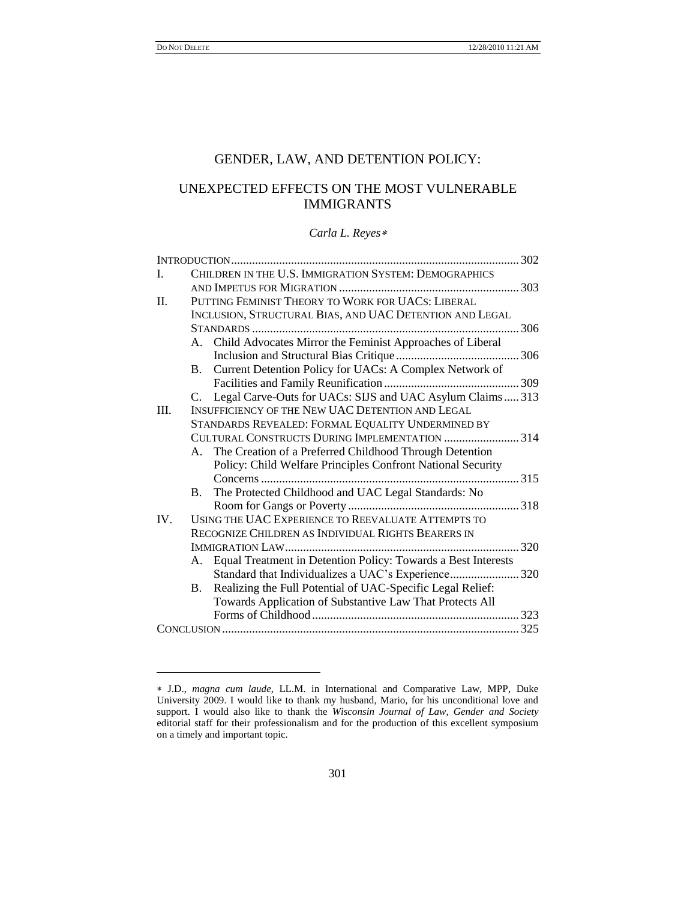l

## GENDER, LAW, AND DETENTION POLICY:

# UNEXPECTED EFFECTS ON THE MOST VULNERABLE IMMIGRANTS

#### *Carla L. Reyes*

| CHILDREN IN THE U.S. IMMIGRATION SYSTEM: DEMOGRAPHICS<br>I.<br>PUTTING FEMINIST THEORY TO WORK FOR UACS: LIBERAL<br>II.<br>INCLUSION, STRUCTURAL BIAS, AND UAC DETENTION AND LEGAL<br>A. Child Advocates Mirror the Feminist Approaches of Liberal<br>Current Detention Policy for UACs: A Complex Network of<br><b>B.</b><br>Legal Carve-Outs for UACs: SIJS and UAC Asylum Claims  313<br>C.<br>INSUFFICIENCY OF THE NEW UAC DETENTION AND LEGAL<br>III.<br>STANDARDS REVEALED: FORMAL EQUALITY UNDERMINED BY<br>CULTURAL CONSTRUCTS DURING IMPLEMENTATION  314<br>A. The Creation of a Preferred Childhood Through Detention<br>Policy: Child Welfare Principles Confront National Security<br>The Protected Childhood and UAC Legal Standards: No<br><b>B.</b><br>USING THE UAC EXPERIENCE TO REEVALUATE ATTEMPTS TO<br>IV.<br>RECOGNIZE CHILDREN AS INDIVIDUAL RIGHTS BEARERS IN<br>A. Equal Treatment in Detention Policy: Towards a Best Interests<br>Standard that Individualizes a UAC's Experience 320<br>Realizing the Full Potential of UAC-Specific Legal Relief:<br>B.<br>Towards Application of Substantive Law That Protects All |  |  |  |  |  |
|--------------------------------------------------------------------------------------------------------------------------------------------------------------------------------------------------------------------------------------------------------------------------------------------------------------------------------------------------------------------------------------------------------------------------------------------------------------------------------------------------------------------------------------------------------------------------------------------------------------------------------------------------------------------------------------------------------------------------------------------------------------------------------------------------------------------------------------------------------------------------------------------------------------------------------------------------------------------------------------------------------------------------------------------------------------------------------------------------------------------------------------------------|--|--|--|--|--|
|                                                                                                                                                                                                                                                                                                                                                                                                                                                                                                                                                                                                                                                                                                                                                                                                                                                                                                                                                                                                                                                                                                                                                  |  |  |  |  |  |
|                                                                                                                                                                                                                                                                                                                                                                                                                                                                                                                                                                                                                                                                                                                                                                                                                                                                                                                                                                                                                                                                                                                                                  |  |  |  |  |  |
|                                                                                                                                                                                                                                                                                                                                                                                                                                                                                                                                                                                                                                                                                                                                                                                                                                                                                                                                                                                                                                                                                                                                                  |  |  |  |  |  |
|                                                                                                                                                                                                                                                                                                                                                                                                                                                                                                                                                                                                                                                                                                                                                                                                                                                                                                                                                                                                                                                                                                                                                  |  |  |  |  |  |
|                                                                                                                                                                                                                                                                                                                                                                                                                                                                                                                                                                                                                                                                                                                                                                                                                                                                                                                                                                                                                                                                                                                                                  |  |  |  |  |  |
|                                                                                                                                                                                                                                                                                                                                                                                                                                                                                                                                                                                                                                                                                                                                                                                                                                                                                                                                                                                                                                                                                                                                                  |  |  |  |  |  |
|                                                                                                                                                                                                                                                                                                                                                                                                                                                                                                                                                                                                                                                                                                                                                                                                                                                                                                                                                                                                                                                                                                                                                  |  |  |  |  |  |
|                                                                                                                                                                                                                                                                                                                                                                                                                                                                                                                                                                                                                                                                                                                                                                                                                                                                                                                                                                                                                                                                                                                                                  |  |  |  |  |  |
|                                                                                                                                                                                                                                                                                                                                                                                                                                                                                                                                                                                                                                                                                                                                                                                                                                                                                                                                                                                                                                                                                                                                                  |  |  |  |  |  |
|                                                                                                                                                                                                                                                                                                                                                                                                                                                                                                                                                                                                                                                                                                                                                                                                                                                                                                                                                                                                                                                                                                                                                  |  |  |  |  |  |
|                                                                                                                                                                                                                                                                                                                                                                                                                                                                                                                                                                                                                                                                                                                                                                                                                                                                                                                                                                                                                                                                                                                                                  |  |  |  |  |  |
|                                                                                                                                                                                                                                                                                                                                                                                                                                                                                                                                                                                                                                                                                                                                                                                                                                                                                                                                                                                                                                                                                                                                                  |  |  |  |  |  |
|                                                                                                                                                                                                                                                                                                                                                                                                                                                                                                                                                                                                                                                                                                                                                                                                                                                                                                                                                                                                                                                                                                                                                  |  |  |  |  |  |
|                                                                                                                                                                                                                                                                                                                                                                                                                                                                                                                                                                                                                                                                                                                                                                                                                                                                                                                                                                                                                                                                                                                                                  |  |  |  |  |  |
|                                                                                                                                                                                                                                                                                                                                                                                                                                                                                                                                                                                                                                                                                                                                                                                                                                                                                                                                                                                                                                                                                                                                                  |  |  |  |  |  |
|                                                                                                                                                                                                                                                                                                                                                                                                                                                                                                                                                                                                                                                                                                                                                                                                                                                                                                                                                                                                                                                                                                                                                  |  |  |  |  |  |
|                                                                                                                                                                                                                                                                                                                                                                                                                                                                                                                                                                                                                                                                                                                                                                                                                                                                                                                                                                                                                                                                                                                                                  |  |  |  |  |  |
|                                                                                                                                                                                                                                                                                                                                                                                                                                                                                                                                                                                                                                                                                                                                                                                                                                                                                                                                                                                                                                                                                                                                                  |  |  |  |  |  |
|                                                                                                                                                                                                                                                                                                                                                                                                                                                                                                                                                                                                                                                                                                                                                                                                                                                                                                                                                                                                                                                                                                                                                  |  |  |  |  |  |
|                                                                                                                                                                                                                                                                                                                                                                                                                                                                                                                                                                                                                                                                                                                                                                                                                                                                                                                                                                                                                                                                                                                                                  |  |  |  |  |  |
|                                                                                                                                                                                                                                                                                                                                                                                                                                                                                                                                                                                                                                                                                                                                                                                                                                                                                                                                                                                                                                                                                                                                                  |  |  |  |  |  |
|                                                                                                                                                                                                                                                                                                                                                                                                                                                                                                                                                                                                                                                                                                                                                                                                                                                                                                                                                                                                                                                                                                                                                  |  |  |  |  |  |
|                                                                                                                                                                                                                                                                                                                                                                                                                                                                                                                                                                                                                                                                                                                                                                                                                                                                                                                                                                                                                                                                                                                                                  |  |  |  |  |  |
|                                                                                                                                                                                                                                                                                                                                                                                                                                                                                                                                                                                                                                                                                                                                                                                                                                                                                                                                                                                                                                                                                                                                                  |  |  |  |  |  |
|                                                                                                                                                                                                                                                                                                                                                                                                                                                                                                                                                                                                                                                                                                                                                                                                                                                                                                                                                                                                                                                                                                                                                  |  |  |  |  |  |
|                                                                                                                                                                                                                                                                                                                                                                                                                                                                                                                                                                                                                                                                                                                                                                                                                                                                                                                                                                                                                                                                                                                                                  |  |  |  |  |  |
|                                                                                                                                                                                                                                                                                                                                                                                                                                                                                                                                                                                                                                                                                                                                                                                                                                                                                                                                                                                                                                                                                                                                                  |  |  |  |  |  |

J.D., *magna cum laude*, LL.M. in International and Comparative Law, MPP, Duke University 2009. I would like to thank my husband, Mario, for his unconditional love and support. I would also like to thank the *Wisconsin Journal of Law, Gender and Society* editorial staff for their professionalism and for the production of this excellent symposium on a timely and important topic.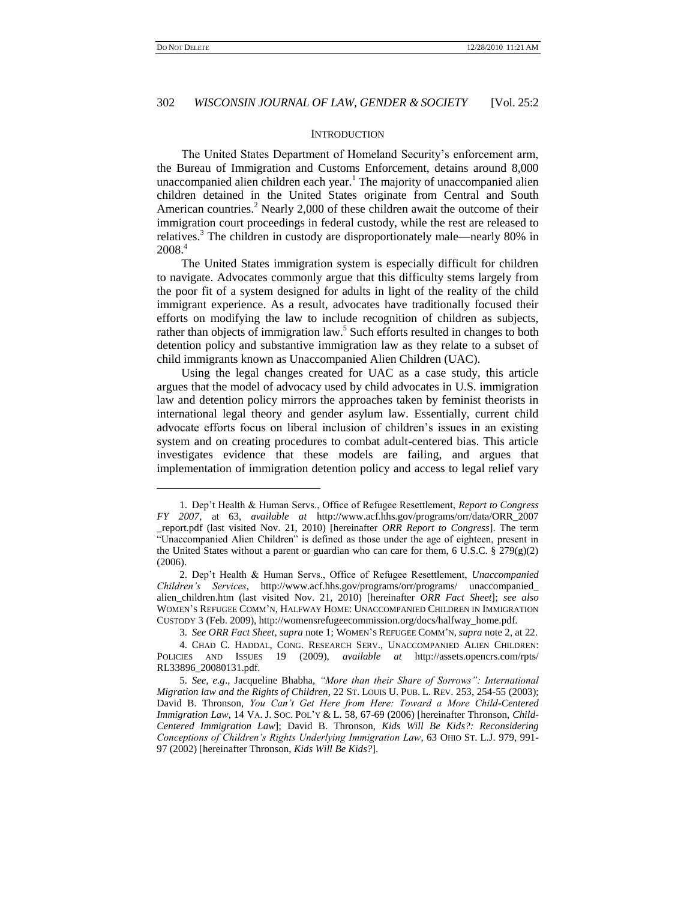$\overline{a}$ 

## 302 *WISCONSIN JOURNAL OF LAW, GENDER & SOCIETY* [Vol. 25:2

#### **INTRODUCTION**

The United States Department of Homeland Security's enforcement arm, the Bureau of Immigration and Customs Enforcement, detains around 8,000 unaccompanied alien children each year.<sup>1</sup> The majority of unaccompanied alien children detained in the United States originate from Central and South American countries.<sup>2</sup> Nearly 2,000 of these children await the outcome of their immigration court proceedings in federal custody, while the rest are released to relatives.<sup>3</sup> The children in custody are disproportionately male—nearly 80% in 2008.<sup>4</sup>

The United States immigration system is especially difficult for children to navigate. Advocates commonly argue that this difficulty stems largely from the poor fit of a system designed for adults in light of the reality of the child immigrant experience. As a result, advocates have traditionally focused their efforts on modifying the law to include recognition of children as subjects, rather than objects of immigration law.<sup>5</sup> Such efforts resulted in changes to both detention policy and substantive immigration law as they relate to a subset of child immigrants known as Unaccompanied Alien Children (UAC).

Using the legal changes created for UAC as a case study, this article argues that the model of advocacy used by child advocates in U.S. immigration law and detention policy mirrors the approaches taken by feminist theorists in international legal theory and gender asylum law. Essentially, current child advocate efforts focus on liberal inclusion of children's issues in an existing system and on creating procedures to combat adult-centered bias. This article investigates evidence that these models are failing, and argues that implementation of immigration detention policy and access to legal relief vary

<sup>1.</sup> Dep't Health & Human Servs., Office of Refugee Resettlement, *Report to Congress FY 2007*, at 63, *available at* http://www.acf.hhs.gov/programs/orr/data/ORR\_2007 \_report.pdf (last visited Nov. 21, 2010) [hereinafter *ORR Report to Congress*]. The term "Unaccompanied Alien Children" is defined as those under the age of eighteen, present in the United States without a parent or guardian who can care for them, 6 U.S.C. § 279 $(g)(2)$ (2006).

<sup>2.</sup> Dep't Health & Human Servs., Office of Refugee Resettlement, *Unaccompanied Children"s Services*, http://www.acf.hhs.gov/programs/orr/programs/ unaccompanied\_ alien\_children.htm (last visited Nov. 21, 2010) [hereinafter *ORR Fact Sheet*]; *see also* WOMEN'S REFUGEE COMM'N, HALFWAY HOME: UNACCOMPANIED CHILDREN IN IMMIGRATION CUSTODY 3 (Feb. 2009), http://womensrefugeecommission.org/docs/halfway\_home.pdf.

<sup>3.</sup> *See ORR Fact Sheet*, *supra* note 1; WOMEN'S REFUGEE COMM'N, *supra* note 2, at 22.

<sup>4.</sup> CHAD C. HADDAL, CONG. RESEARCH SERV., UNACCOMPANIED ALIEN CHILDREN: POLICIES AND ISSUES 19 (2009), *available at* http://assets.opencrs.com/rpts/ RL33896\_20080131.pdf.

<sup>5.</sup> *See, e*.*g*., Jacqueline Bhabha, *"More than their Share of Sorrows": International Migration law and the Rights of Children*, 22 ST. LOUIS U. PUB. L. REV. 253, 254-55 (2003); David B. Thronson, *You Can"t Get Here from Here: Toward a More Child-Centered Immigration Law*, 14 VA. J. SOC. POL'Y & L. 58, 67-69 (2006) [hereinafter Thronson, *Child-Centered Immigration Law*]; David B. Thronson, *Kids Will Be Kids?: Reconsidering Conceptions of Children"s Rights Underlying Immigration Law*, 63 OHIO ST. L.J. 979, 991- 97 (2002) [hereinafter Thronson, *Kids Will Be Kids?*].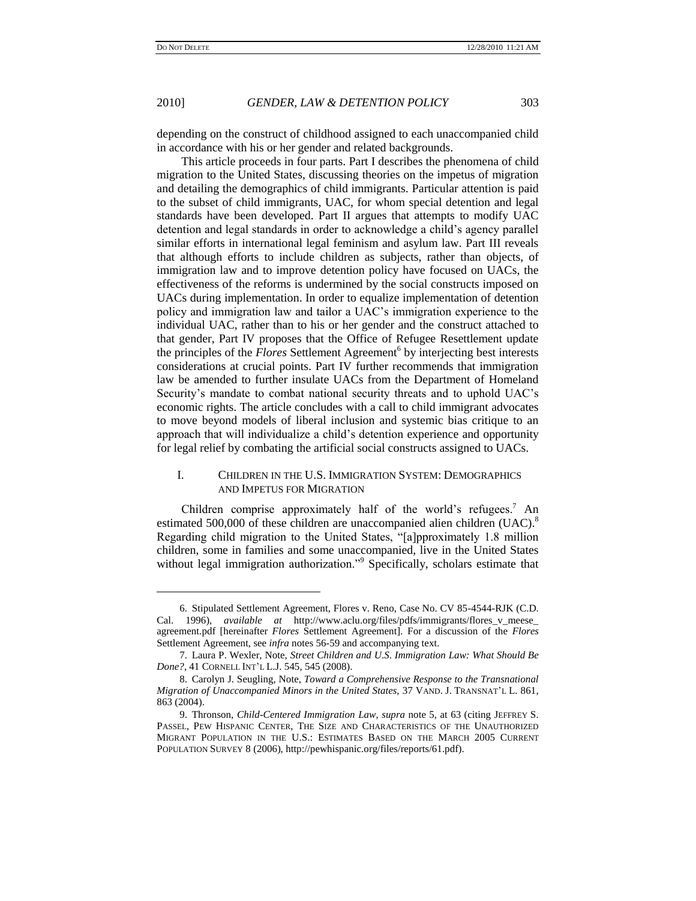l

#### 2010] *GENDER, LAW & DETENTION POLICY* 303

depending on the construct of childhood assigned to each unaccompanied child in accordance with his or her gender and related backgrounds.

This article proceeds in four parts. Part I describes the phenomena of child migration to the United States, discussing theories on the impetus of migration and detailing the demographics of child immigrants. Particular attention is paid to the subset of child immigrants, UAC, for whom special detention and legal standards have been developed. Part II argues that attempts to modify UAC detention and legal standards in order to acknowledge a child's agency parallel similar efforts in international legal feminism and asylum law. Part III reveals that although efforts to include children as subjects, rather than objects, of immigration law and to improve detention policy have focused on UACs, the effectiveness of the reforms is undermined by the social constructs imposed on UACs during implementation. In order to equalize implementation of detention policy and immigration law and tailor a UAC's immigration experience to the individual UAC, rather than to his or her gender and the construct attached to that gender, Part IV proposes that the Office of Refugee Resettlement update the principles of the *Flores* Settlement Agreement<sup>6</sup> by interjecting best interests considerations at crucial points. Part IV further recommends that immigration law be amended to further insulate UACs from the Department of Homeland Security's mandate to combat national security threats and to uphold UAC's economic rights. The article concludes with a call to child immigrant advocates to move beyond models of liberal inclusion and systemic bias critique to an approach that will individualize a child's detention experience and opportunity for legal relief by combating the artificial social constructs assigned to UACs.

## I. CHILDREN IN THE U.S. IMMIGRATION SYSTEM: DEMOGRAPHICS AND IMPETUS FOR MIGRATION

Children comprise approximately half of the world's refugees.<sup>7</sup> An estimated 500,000 of these children are unaccompanied alien children (UAC).<sup>8</sup> Regarding child migration to the United States, "[a]pproximately 1.8 million children, some in families and some unaccompanied, live in the United States without legal immigration authorization."<sup>9</sup> Specifically, scholars estimate that

<sup>6.</sup> Stipulated Settlement Agreement, Flores v. Reno, Case No. CV 85-4544-RJK (C.D. Cal. 1996), *available at* http://www.aclu.org/files/pdfs/immigrants/flores\_v\_meese\_ agreement.pdf [hereinafter *Flores* Settlement Agreement]. For a discussion of the *Flores*  Settlement Agreement, see *infra* notes 56-59 and accompanying text.

<sup>7.</sup> Laura P. Wexler, Note, *Street Children and U*.*S*. *Immigration Law: What Should Be Done?*, 41 CORNELL INT'L L.J. 545, 545 (2008).

<sup>8.</sup> Carolyn J. Seugling, Note, *Toward a Comprehensive Response to the Transnational Migration of Unaccompanied Minors in the United States*, 37 VAND. J. TRANSNAT'L L. 861, 863 (2004).

<sup>9.</sup> Thronson, *Child-Centered Immigration Law*, *supra* note 5, at 63 (citing JEFFREY S. PASSEL, PEW HISPANIC CENTER, THE SIZE AND CHARACTERISTICS OF THE UNAUTHORIZED MIGRANT POPULATION IN THE U.S.: ESTIMATES BASED ON THE MARCH 2005 CURRENT POPULATION SURVEY 8 (2006), http://pewhispanic.org/files/reports/61.pdf).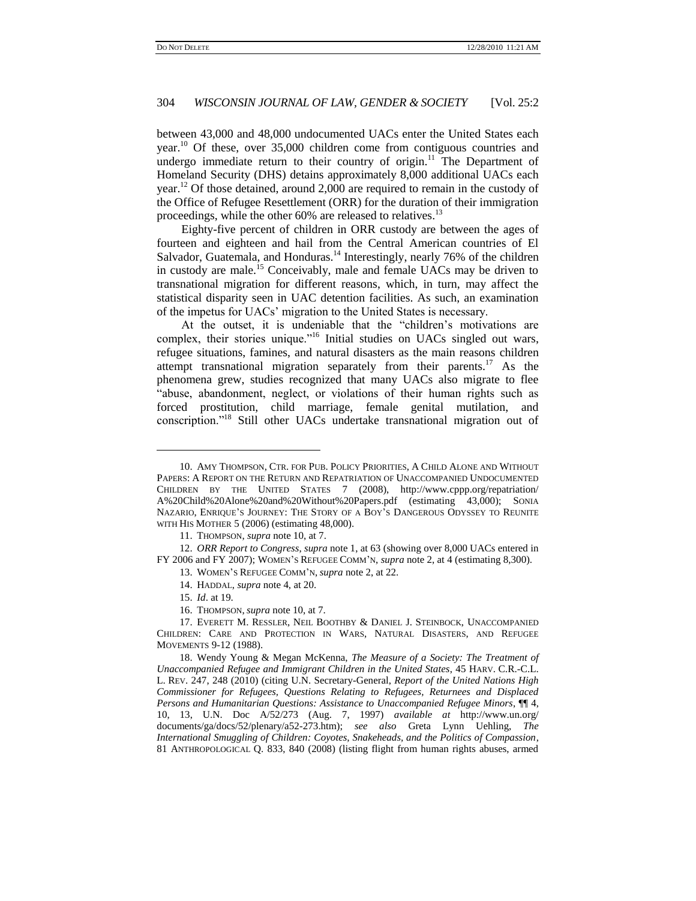between 43,000 and 48,000 undocumented UACs enter the United States each year.<sup>10</sup> Of these, over 35,000 children come from contiguous countries and undergo immediate return to their country of origin.<sup>11</sup> The Department of Homeland Security (DHS) detains approximately 8,000 additional UACs each year.<sup>12</sup> Of those detained, around 2,000 are required to remain in the custody of the Office of Refugee Resettlement (ORR) for the duration of their immigration proceedings, while the other 60% are released to relatives.<sup>13</sup>

Eighty-five percent of children in ORR custody are between the ages of fourteen and eighteen and hail from the Central American countries of El Salvador, Guatemala, and Honduras.<sup>14</sup> Interestingly, nearly 76% of the children in custody are male.<sup>15</sup> Conceivably, male and female UACs may be driven to transnational migration for different reasons, which, in turn, may affect the statistical disparity seen in UAC detention facilities. As such, an examination of the impetus for UACs' migration to the United States is necessary.

At the outset, it is undeniable that the "children's motivations are complex, their stories unique."<sup>16</sup> Initial studies on UACs singled out wars, refugee situations, famines, and natural disasters as the main reasons children attempt transnational migration separately from their parents.<sup>17</sup> As the phenomena grew, studies recognized that many UACs also migrate to flee "abuse, abandonment, neglect, or violations of their human rights such as forced prostitution, child marriage, female genital mutilation, and conscription."<sup>18</sup> Still other UACs undertake transnational migration out of

- 13. WOMEN'S REFUGEE COMM'N, *supra* note 2, at 22.
- 14. HADDAL, *supra* note 4, at 20.

<sup>10.</sup> AMY THOMPSON, CTR. FOR PUB. POLICY PRIORITIES, A CHILD ALONE AND WITHOUT PAPERS: A REPORT ON THE RETURN AND REPATRIATION OF UNACCOMPANIED UNDOCUMENTED CHILDREN BY THE UNITED STATES 7 (2008), http://www.cppp.org/repatriation/ A%20Child%20Alone%20and%20Without%20Papers.pdf (estimating 43,000); SONIA NAZARIO, ENRIQUE'S JOURNEY: THE STORY OF A BOY'S DANGEROUS ODYSSEY TO REUNITE WITH HIS MOTHER 5 (2006) (estimating 48,000).

<sup>11.</sup> THOMPSON, *supra* note 10, at 7.

<sup>12.</sup> *ORR Report to Congress*, *supra* note 1, at 63 (showing over 8,000 UACs entered in FY 2006 and FY 2007); WOMEN'S REFUGEE COMM'N, *supra* note 2, at 4 (estimating 8,300).

<sup>15.</sup> *Id*. at 19.

<sup>16.</sup> THOMPSON, *supra* note 10, at 7.

<sup>17.</sup> EVERETT M. RESSLER, NEIL BOOTHBY & DANIEL J. STEINBOCK, UNACCOMPANIED CHILDREN: CARE AND PROTECTION IN WARS, NATURAL DISASTERS, AND REFUGEE MOVEMENTS 9-12 (1988).

<sup>18.</sup> Wendy Young & Megan McKenna, *The Measure of a Society: The Treatment of Unaccompanied Refugee and Immigrant Children in the United States*, 45 HARV. C.R.-C.L. L. REV. 247, 248 (2010) (citing U.N. Secretary-General, *Report of the United Nations High Commissioner for Refugees, Questions Relating to Refugees, Returnees and Displaced Persons and Humanitarian Questions: Assistance to Unaccompanied Refugee Minors*, ¶¶ 4, 10, 13, U.N. Doc A/52/273 (Aug. 7, 1997) *available at* http://www.un.org/ documents/ga/docs/52/plenary/a52-273.htm); *see also* Greta Lynn Uehling, *The International Smuggling of Children: Coyotes, Snakeheads, and the Politics of Compassion*, 81 ANTHROPOLOGICAL Q. 833, 840 (2008) (listing flight from human rights abuses, armed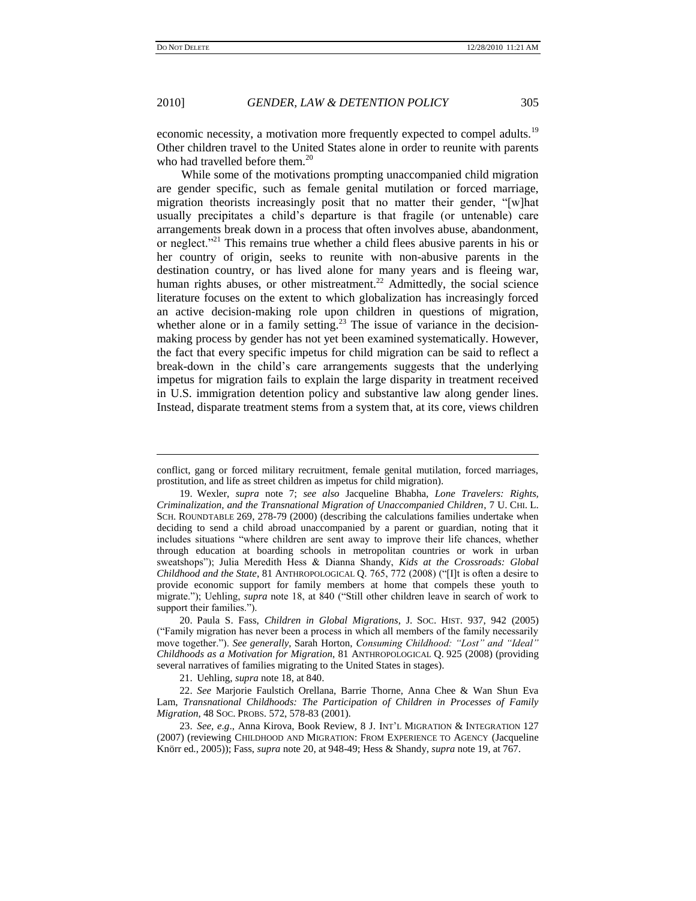$\overline{a}$ 

economic necessity, a motivation more frequently expected to compel adults.<sup>19</sup> Other children travel to the United States alone in order to reunite with parents who had travelled before them.<sup>20</sup>

While some of the motivations prompting unaccompanied child migration are gender specific, such as female genital mutilation or forced marriage, migration theorists increasingly posit that no matter their gender, "[w]hat usually precipitates a child's departure is that fragile (or untenable) care arrangements break down in a process that often involves abuse, abandonment, or neglect.<sup>221</sup> This remains true whether a child flees abusive parents in his or her country of origin, seeks to reunite with non-abusive parents in the destination country, or has lived alone for many years and is fleeing war, human rights abuses, or other mistreatment.<sup>22</sup> Admittedly, the social science literature focuses on the extent to which globalization has increasingly forced an active decision-making role upon children in questions of migration, whether alone or in a family setting.<sup>23</sup> The issue of variance in the decisionmaking process by gender has not yet been examined systematically. However, the fact that every specific impetus for child migration can be said to reflect a break-down in the child's care arrangements suggests that the underlying impetus for migration fails to explain the large disparity in treatment received in U.S. immigration detention policy and substantive law along gender lines. Instead, disparate treatment stems from a system that, at its core, views children

20. Paula S. Fass, *Children in Global Migrations*, J. SOC. HIST. 937, 942 (2005) (―Family migration has never been a process in which all members of the family necessarily move together.‖). *See generally*, Sarah Horton, *Consuming Childhood: "Lost" and "Ideal" Childhoods as a Motivation for Migration*, 81 ANTHROPOLOGICAL Q. 925 (2008) (providing several narratives of families migrating to the United States in stages).

21. Uehling, *supra* note 18, at 840.

22. *See* Marjorie Faulstich Orellana, Barrie Thorne, Anna Chee & Wan Shun Eva Lam, *Transnational Childhoods: The Participation of Children in Processes of Family Migration*, 48 SOC. PROBS. 572, 578-83 (2001).

23. *See, e*.*g*., Anna Kirova, Book Review, 8 J. INT'L MIGRATION & INTEGRATION 127 (2007) (reviewing CHILDHOOD AND MIGRATION: FROM EXPERIENCE TO AGENCY (Jacqueline Knörr ed., 2005)); Fass, *supra* note 20, at 948-49; Hess & Shandy, *supra* note 19, at 767.

conflict, gang or forced military recruitment, female genital mutilation, forced marriages, prostitution, and life as street children as impetus for child migration).

<sup>19.</sup> Wexler, *supra* note 7; *see also* Jacqueline Bhabha, *Lone Travelers: Rights, Criminalization, and the Transnational Migration of Unaccompanied Children*, 7 U. CHI. L. SCH. ROUNDTABLE 269, 278-79 (2000) (describing the calculations families undertake when deciding to send a child abroad unaccompanied by a parent or guardian, noting that it includes situations "where children are sent away to improve their life chances, whether through education at boarding schools in metropolitan countries or work in urban sweatshops"); Julia Meredith Hess & Dianna Shandy, *Kids at the Crossroads: Global Childhood and the State*, 81 ANTHROPOLOGICAL Q. 765, 772 (2008) ("[I]t is often a desire to provide economic support for family members at home that compels these youth to migrate."); Uehling, *supra* note 18, at 840 ("Still other children leave in search of work to support their families.").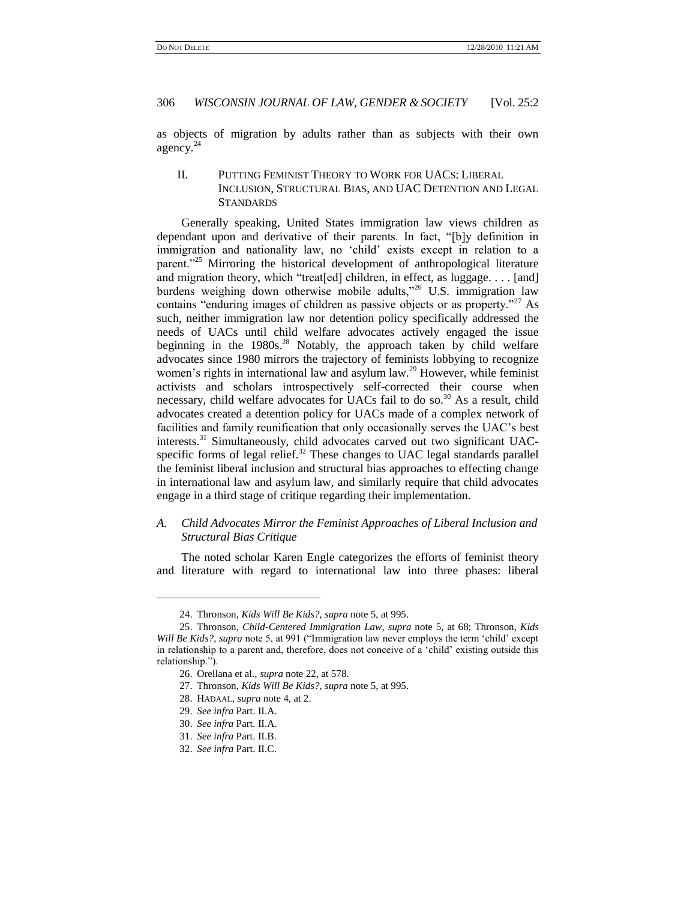as objects of migration by adults rather than as subjects with their own agency.<sup>24</sup>

## II. PUTTING FEMINIST THEORY TO WORK FOR UACS: LIBERAL INCLUSION, STRUCTURAL BIAS, AND UAC DETENTION AND LEGAL **STANDARDS**

Generally speaking, United States immigration law views children as dependant upon and derivative of their parents. In fact, "[b]y definition in immigration and nationality law, no 'child' exists except in relation to a parent.<sup>325</sup> Mirroring the historical development of anthropological literature and migration theory, which "treat[ed] children, in effect, as luggage.  $\dots$  [and] burdens weighing down otherwise mobile adults,"<sup>26</sup> U.S. immigration law contains "enduring images of children as passive objects or as property."<sup>27</sup> As such, neither immigration law nor detention policy specifically addressed the needs of UACs until child welfare advocates actively engaged the issue beginning in the  $1980s^{28}$  Notably, the approach taken by child welfare advocates since 1980 mirrors the trajectory of feminists lobbying to recognize women's rights in international law and asylum law.<sup>29</sup> However, while feminist activists and scholars introspectively self-corrected their course when necessary, child welfare advocates for UACs fail to do so.<sup>30</sup> As a result, child advocates created a detention policy for UACs made of a complex network of facilities and family reunification that only occasionally serves the UAC's best interests.<sup>31</sup> Simultaneously, child advocates carved out two significant UACspecific forms of legal relief. $32$  These changes to UAC legal standards parallel the feminist liberal inclusion and structural bias approaches to effecting change in international law and asylum law, and similarly require that child advocates engage in a third stage of critique regarding their implementation.

## *A. Child Advocates Mirror the Feminist Approaches of Liberal Inclusion and Structural Bias Critique*

The noted scholar Karen Engle categorizes the efforts of feminist theory and literature with regard to international law into three phases: liberal

 $\overline{a}$ 

<sup>24.</sup> Thronson, *Kids Will Be Kids?*, *supra* note 5, at 995.

<sup>25.</sup> Thronson, *Child-Centered Immigration Law*, *supra* note 5, at 68; Thronson, *Kids Will Be Kids?*, *supra* note 5, at 991 ("Immigration law never employs the term 'child' except in relationship to a parent and, therefore, does not conceive of a 'child' existing outside this relationship.").

<sup>26.</sup> Orellana et al., *supra* note 22, at 578.

<sup>27.</sup> Thronson, *Kids Will Be Kids?*, *supra* note 5, at 995.

<sup>28.</sup> HADAAL, *supra* note 4, at 2.

<sup>29.</sup> *See infra* Part. II.A.

<sup>30.</sup> *See infra* Part. II.A.

<sup>31.</sup> *See infra* Part. II.B.

<sup>32.</sup> *See infra* Part. II.C.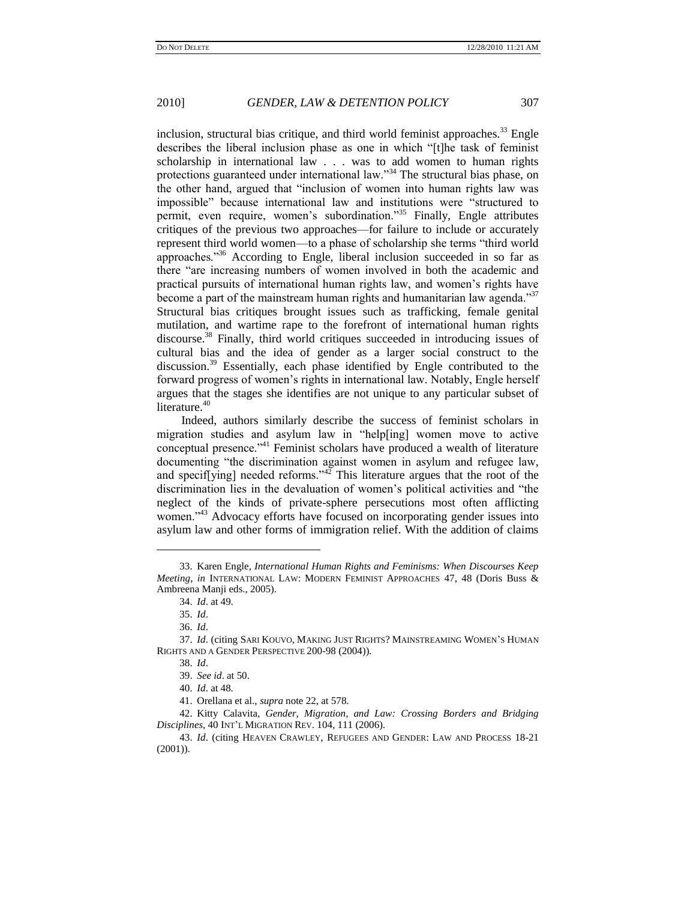inclusion, structural bias critique, and third world feminist approaches.<sup>33</sup> Engle describes the liberal inclusion phase as one in which "[t]he task of feminist scholarship in international law . . . was to add women to human rights protections guaranteed under international law."<sup>34</sup> The structural bias phase, on the other hand, argued that "inclusion of women into human rights law was impossible" because international law and institutions were "structured to permit, even require, women's subordination."<sup>35</sup> Finally, Engle attributes critiques of the previous two approaches—for failure to include or accurately represent third world women—to a phase of scholarship she terms "third world approaches."<sup>36</sup> According to Engle, liberal inclusion succeeded in so far as there "are increasing numbers of women involved in both the academic and practical pursuits of international human rights law, and women's rights have become a part of the mainstream human rights and humanitarian law agenda.<sup>37</sup> Structural bias critiques brought issues such as trafficking, female genital mutilation, and wartime rape to the forefront of international human rights discourse.<sup>38</sup> Finally, third world critiques succeeded in introducing issues of cultural bias and the idea of gender as a larger social construct to the discussion.<sup>39</sup> Essentially, each phase identified by Engle contributed to the forward progress of women's rights in international law. Notably, Engle herself argues that the stages she identifies are not unique to any particular subset of literature.<sup>40</sup>

Indeed, authors similarly describe the success of feminist scholars in migration studies and asylum law in "help[ing] women move to active conceptual presence."<sup>41</sup> Feminist scholars have produced a wealth of literature documenting "the discrimination against women in asylum and refugee law, and specif[ying] needed reforms." $42$  This literature argues that the root of the discrimination lies in the devaluation of women's political activities and "the neglect of the kinds of private-sphere persecutions most often afflicting women.<sup>343</sup> Advocacy efforts have focused on incorporating gender issues into asylum law and other forms of immigration relief. With the addition of claims

 $\overline{a}$ 

<sup>33.</sup> Karen Engle, *International Human Rights and Feminisms: When Discourses Keep Meeting*, *in* INTERNATIONAL LAW: MODERN FEMINIST APPROACHES 47, 48 (Doris Buss & Ambreena Manji eds., 2005).

<sup>34.</sup> *Id*. at 49.

<sup>35.</sup> *Id*.

<sup>36.</sup> *Id*.

<sup>37.</sup> *Id*. (citing SARI KOUVO, MAKING JUST RIGHTS? MAINSTREAMING WOMEN'S HUMAN RIGHTS AND A GENDER PERSPECTIVE 200-98 (2004)).

<sup>38.</sup> *Id*.

<sup>39.</sup> *See id*. at 50.

<sup>40.</sup> *Id*. at 48.

<sup>41.</sup> Orellana et al., *supra* note 22, at 578.

<sup>42.</sup> Kitty Calavita, *Gender, Migration, and Law: Crossing Borders and Bridging Disciplines*, 40 INT'L MIGRATION REV. 104, 111 (2006).

<sup>43.</sup> *Id*. (citing HEAVEN CRAWLEY, REFUGEES AND GENDER: LAW AND PROCESS 18-21 (2001)).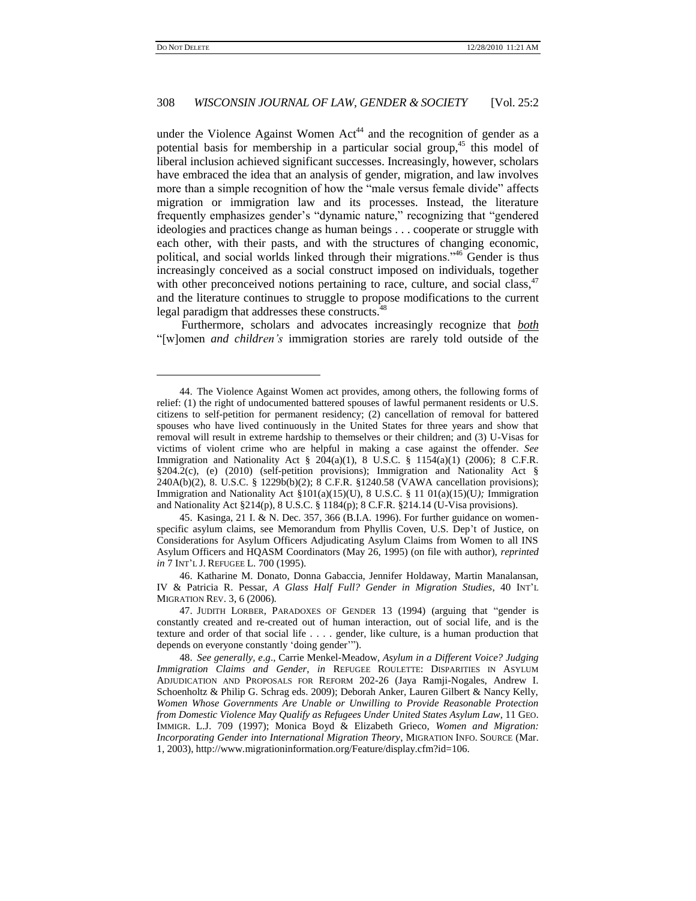l

## 308 *WISCONSIN JOURNAL OF LAW, GENDER & SOCIETY* [Vol. 25:2

under the Violence Against Women  $Act<sup>44</sup>$  and the recognition of gender as a potential basis for membership in a particular social group,<sup>45</sup> this model of liberal inclusion achieved significant successes. Increasingly, however, scholars have embraced the idea that an analysis of gender, migration, and law involves more than a simple recognition of how the "male versus female divide" affects migration or immigration law and its processes. Instead, the literature frequently emphasizes gender's "dynamic nature," recognizing that "gendered ideologies and practices change as human beings . . . cooperate or struggle with each other, with their pasts, and with the structures of changing economic, political, and social worlds linked through their migrations."<sup>46</sup> Gender is thus increasingly conceived as a social construct imposed on individuals, together with other preconceived notions pertaining to race, culture, and social class,  $47$ and the literature continues to struggle to propose modifications to the current legal paradigm that addresses these constructs.<sup>4</sup>

Furthermore, scholars and advocates increasingly recognize that *both* ―[w]omen *and children"s* immigration stories are rarely told outside of the

45. Kasinga, 21 I. & N. Dec. 357, 366 (B.I.A. 1996). For further guidance on womenspecific asylum claims, see Memorandum from Phyllis Coven, U.S. Dep't of Justice, on Considerations for Asylum Officers Adjudicating Asylum Claims from Women to all INS Asylum Officers and HQASM Coordinators (May 26, 1995) (on file with author), *reprinted in* 7 INT'L J. REFUGEE L. 700 (1995).

46. Katharine M. Donato, Donna Gabaccia, Jennifer Holdaway, Martin Manalansan, IV & Patricia R. Pessar, *A Glass Half Full? Gender in Migration Studies*, 40 INT'L MIGRATION REV. 3, 6 (2006).

<sup>44.</sup> The Violence Against Women act provides, among others, the following forms of relief: (1) the right of undocumented battered spouses of lawful permanent residents or U.S. citizens to self-petition for permanent residency; (2) cancellation of removal for battered spouses who have lived continuously in the United States for three years and show that removal will result in extreme hardship to themselves or their children; and (3) U-Visas for victims of violent crime who are helpful in making a case against the offender. *See* Immigration and Nationality Act  $\S$  204(a)(1), 8 U.S.C.  $\S$  1154(a)(1) (2006); 8 C.F.R. §204.2(c), (e) (2010) (self-petition provisions); Immigration and Nationality Act § 240A(b)(2), 8. U.S.C. § 1229b(b)(2); 8 C.F.R. §1240.58 (VAWA cancellation provisions); Immigration and Nationality Act §101(a)(15)(U), 8 U.S.C. § 11 01(a)(15)(U*);* Immigration and Nationality Act §214(p), 8 U.S.C. § 1184(p); 8 C.F.R. §214.14 (U-Visa provisions).

<sup>47.</sup> JUDITH LORBER, PARADOXES OF GENDER 13 (1994) (arguing that "gender is constantly created and re-created out of human interaction, out of social life, and is the texture and order of that social life . . . . gender, like culture, is a human production that depends on everyone constantly 'doing gender'").

<sup>48.</sup> *See generally, e*.*g*., Carrie Menkel-Meadow, *Asylum in a Different Voice? Judging Immigration Claims and Gender*, *in* REFUGEE ROULETTE: DISPARITIES IN ASYLUM ADJUDICATION AND PROPOSALS FOR REFORM 202-26 (Jaya Ramji-Nogales, Andrew I. Schoenholtz & Philip G. Schrag eds. 2009); Deborah Anker, Lauren Gilbert & Nancy Kelly, *Women Whose Governments Are Unable or Unwilling to Provide Reasonable Protection from Domestic Violence May Qualify as Refugees Under United States Asylum Law*, 11 GEO. IMMIGR. L.J. 709 (1997); Monica Boyd & Elizabeth Grieco, *Women and Migration: Incorporating Gender into International Migration Theory*, MIGRATION INFO. SOURCE (Mar. 1, 2003), http://www.migrationinformation.org/Feature/display.cfm?id=106.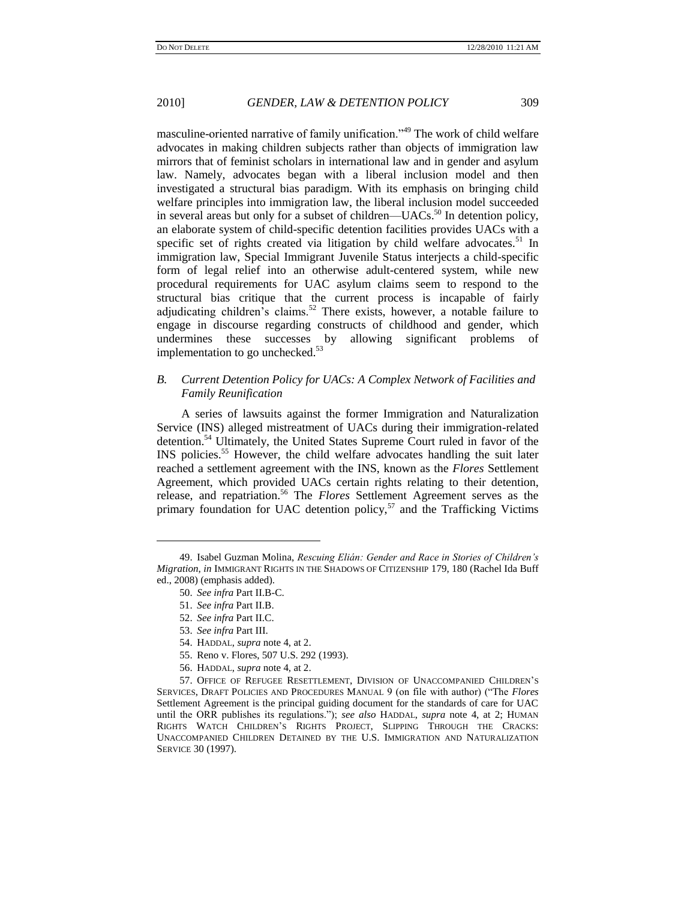masculine-oriented narrative of family unification."<sup>49</sup> The work of child welfare advocates in making children subjects rather than objects of immigration law mirrors that of feminist scholars in international law and in gender and asylum law. Namely, advocates began with a liberal inclusion model and then investigated a structural bias paradigm. With its emphasis on bringing child welfare principles into immigration law, the liberal inclusion model succeeded in several areas but only for a subset of children—UACs.<sup>50</sup> In detention policy, an elaborate system of child-specific detention facilities provides UACs with a specific set of rights created via litigation by child welfare advocates.<sup>51</sup> In immigration law, Special Immigrant Juvenile Status interjects a child-specific form of legal relief into an otherwise adult-centered system, while new procedural requirements for UAC asylum claims seem to respond to the structural bias critique that the current process is incapable of fairly adjudicating children's claims.<sup>52</sup> There exists, however, a notable failure to engage in discourse regarding constructs of childhood and gender, which undermines these successes by allowing significant problems of implementation to go unchecked.<sup>53</sup>

## *B. Current Detention Policy for UACs: A Complex Network of Facilities and Family Reunification*

A series of lawsuits against the former Immigration and Naturalization Service (INS) alleged mistreatment of UACs during their immigration-related detention.<sup>54</sup> Ultimately, the United States Supreme Court ruled in favor of the INS policies.<sup>55</sup> However, the child welfare advocates handling the suit later reached a settlement agreement with the INS, known as the *Flores* Settlement Agreement, which provided UACs certain rights relating to their detention, release, and repatriation.<sup>56</sup> The *Flores* Settlement Agreement serves as the primary foundation for UAC detention policy, $57$  and the Trafficking Victims

l

52. *See infra* Part II.C.

- 55. Reno v. Flores, 507 U.S. 292 (1993).
- 56. HADDAL, *supra* note 4, at 2.

<sup>49.</sup> Isabel Guzman Molina, *Rescuing Elián: Gender and Race in Stories of Children"s Migration*, *in* IMMIGRANT RIGHTS IN THE SHADOWS OF CITIZENSHIP 179, 180 (Rachel Ida Buff ed., 2008) (emphasis added).

<sup>50.</sup> *See infra* Part II.B-C.

<sup>51.</sup> *See infra* Part II.B.

<sup>53.</sup> *See infra* Part III.

<sup>54.</sup> HADDAL, *supra* note 4, at 2.

<sup>57.</sup> OFFICE OF REFUGEE RESETTLEMENT, DIVISION OF UNACCOMPANIED CHILDREN'S SERVICES, DRAFT POLICIES AND PROCEDURES MANUAL 9 (on file with author) ("The *Flores* Settlement Agreement is the principal guiding document for the standards of care for UAC until the ORR publishes its regulations.‖); *see also* HADDAL, *supra* note 4, at 2; HUMAN RIGHTS WATCH CHILDREN'S RIGHTS PROJECT, SLIPPING THROUGH THE CRACKS: UNACCOMPANIED CHILDREN DETAINED BY THE U.S. IMMIGRATION AND NATURALIZATION SERVICE 30 (1997).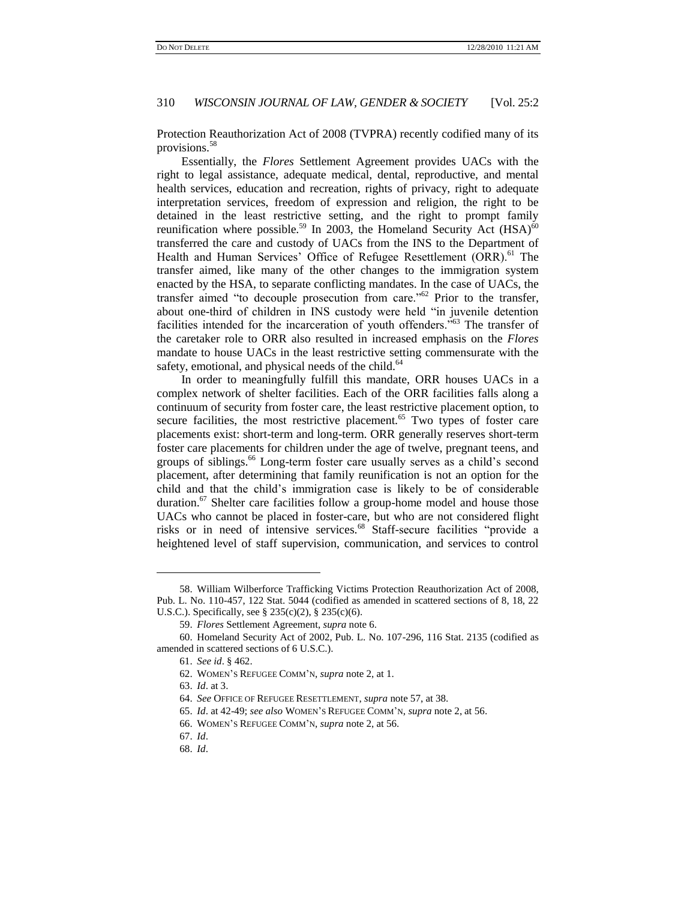Protection Reauthorization Act of 2008 (TVPRA) recently codified many of its provisions.<sup>58</sup>

Essentially, the *Flores* Settlement Agreement provides UACs with the right to legal assistance, adequate medical, dental, reproductive, and mental health services, education and recreation, rights of privacy, right to adequate interpretation services, freedom of expression and religion, the right to be detained in the least restrictive setting, and the right to prompt family reunification where possible.<sup>59</sup> In 2003, the Homeland Security Act  $(HSA)^{60}$ transferred the care and custody of UACs from the INS to the Department of Health and Human Services' Office of Refugee Resettlement (ORR).<sup>61</sup> The transfer aimed, like many of the other changes to the immigration system enacted by the HSA, to separate conflicting mandates. In the case of UACs, the transfer aimed "to decouple prosecution from care." $62$  Prior to the transfer, about one-third of children in INS custody were held "in juvenile detention facilities intended for the incarceration of youth offenders."<sup>63</sup> The transfer of the caretaker role to ORR also resulted in increased emphasis on the *Flores* mandate to house UACs in the least restrictive setting commensurate with the safety, emotional, and physical needs of the child.<sup>64</sup>

In order to meaningfully fulfill this mandate, ORR houses UACs in a complex network of shelter facilities. Each of the ORR facilities falls along a continuum of security from foster care, the least restrictive placement option, to secure facilities, the most restrictive placement.<sup>65</sup> Two types of foster care placements exist: short-term and long-term. ORR generally reserves short-term foster care placements for children under the age of twelve, pregnant teens, and groups of siblings.<sup>66</sup> Long-term foster care usually serves as a child's second placement, after determining that family reunification is not an option for the child and that the child's immigration case is likely to be of considerable duration.<sup>67</sup> Shelter care facilities follow a group-home model and house those UACs who cannot be placed in foster-care, but who are not considered flight risks or in need of intensive services.<sup>68</sup> Staff-secure facilities "provide a heightened level of staff supervision, communication, and services to control

<sup>58.</sup> William Wilberforce Trafficking Victims Protection Reauthorization Act of 2008, Pub. L. No. 110-457, 122 Stat. 5044 (codified as amended in scattered sections of 8, 18, 22 U.S.C.). Specifically, see § 235(c)(2), § 235(c)(6).

<sup>59.</sup> *Flores* Settlement Agreement, *supra* note 6.

<sup>60.</sup> Homeland Security Act of 2002, Pub. L. No. 107-296, 116 Stat. 2135 (codified as amended in scattered sections of 6 U.S.C.).

<sup>61.</sup> *See id*. § 462.

<sup>62.</sup> WOMEN'S REFUGEE COMM'N, *supra* note 2, at 1.

<sup>63.</sup> *Id*. at 3.

<sup>64.</sup> *See* OFFICE OF REFUGEE RESETTLEMENT, *supra* note 57, at 38.

<sup>65.</sup> *Id*. at 42-49; *see also* WOMEN'S REFUGEE COMM'N, *supra* note 2, at 56.

<sup>66.</sup> WOMEN'S REFUGEE COMM'N, *supra* note 2, at 56.

<sup>67.</sup> *Id*.

<sup>68.</sup> *Id*.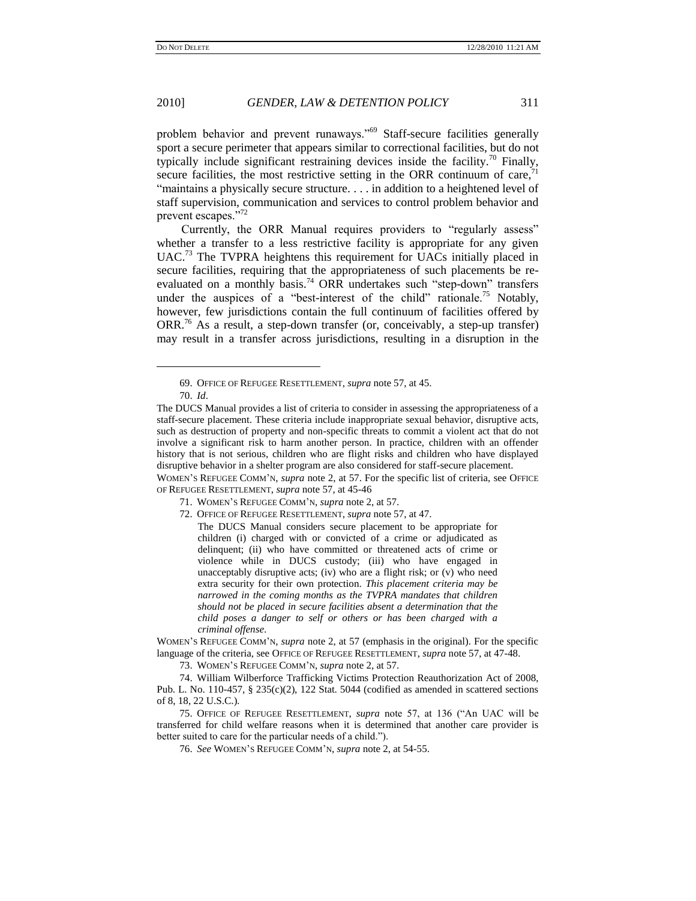problem behavior and prevent runaways."<sup>69</sup> Staff-secure facilities generally sport a secure perimeter that appears similar to correctional facilities, but do not typically include significant restraining devices inside the facility.<sup>70</sup> Finally, secure facilities, the most restrictive setting in the ORR continuum of care, $71$ "maintains a physically secure structure.... in addition to a heightened level of staff supervision, communication and services to control problem behavior and prevent escapes."72

Currently, the ORR Manual requires providers to "regularly assess" whether a transfer to a less restrictive facility is appropriate for any given UAC.<sup>73</sup> The TVPRA heightens this requirement for UACs initially placed in secure facilities, requiring that the appropriateness of such placements be reevaluated on a monthly basis.<sup>74</sup> ORR undertakes such "step-down" transfers under the auspices of a "best-interest of the child" rationale.<sup>75</sup> Notably, however, few jurisdictions contain the full continuum of facilities offered by ORR.<sup>76</sup> As a result, a step-down transfer (or, conceivably, a step-up transfer) may result in a transfer across jurisdictions, resulting in a disruption in the

l

OF REFUGEE RESETTLEMENT, *supra* note 57, at 45-46

72. OFFICE OF REFUGEE RESETTLEMENT, *supra* note 57, at 47.

The DUCS Manual considers secure placement to be appropriate for children (i) charged with or convicted of a crime or adjudicated as delinquent; (ii) who have committed or threatened acts of crime or violence while in DUCS custody; (iii) who have engaged in unacceptably disruptive acts; (iv) who are a flight risk; or (v) who need extra security for their own protection. *This placement criteria may be narrowed in the coming months as the TVPRA mandates that children should not be placed in secure facilities absent a determination that the child poses a danger to self or others or has been charged with a criminal offense*.

WOMEN'S REFUGEE COMM'N, *supra* note 2, at 57 (emphasis in the original). For the specific language of the criteria, see OFFICE OF REFUGEE RESETTLEMENT, *supra* note 57, at 47-48.

73. WOMEN'S REFUGEE COMM'N, *supra* note 2, at 57.

74. William Wilberforce Trafficking Victims Protection Reauthorization Act of 2008, Pub. L. No. 110-457, § 235(c)(2), 122 Stat. 5044 (codified as amended in scattered sections of 8, 18, 22 U.S.C.).

75. OFFICE OF REFUGEE RESETTLEMENT, *supra* note 57, at 136 ("An UAC will be transferred for child welfare reasons when it is determined that another care provider is better suited to care for the particular needs of a child.").

<sup>69.</sup> OFFICE OF REFUGEE RESETTLEMENT, *supra* note 57, at 45.

<sup>70.</sup> *Id*.

The DUCS Manual provides a list of criteria to consider in assessing the appropriateness of a staff-secure placement. These criteria include inappropriate sexual behavior, disruptive acts, such as destruction of property and non-specific threats to commit a violent act that do not involve a significant risk to harm another person. In practice, children with an offender history that is not serious, children who are flight risks and children who have displayed disruptive behavior in a shelter program are also considered for staff-secure placement. WOMEN'S REFUGEE COMM'N, *supra* note 2, at 57. For the specific list of criteria, see OFFICE

<sup>71.</sup> WOMEN'S REFUGEE COMM'N, *supra* note 2, at 57.

<sup>76.</sup> *See* WOMEN'S REFUGEE COMM'N, *supra* note 2, at 54-55.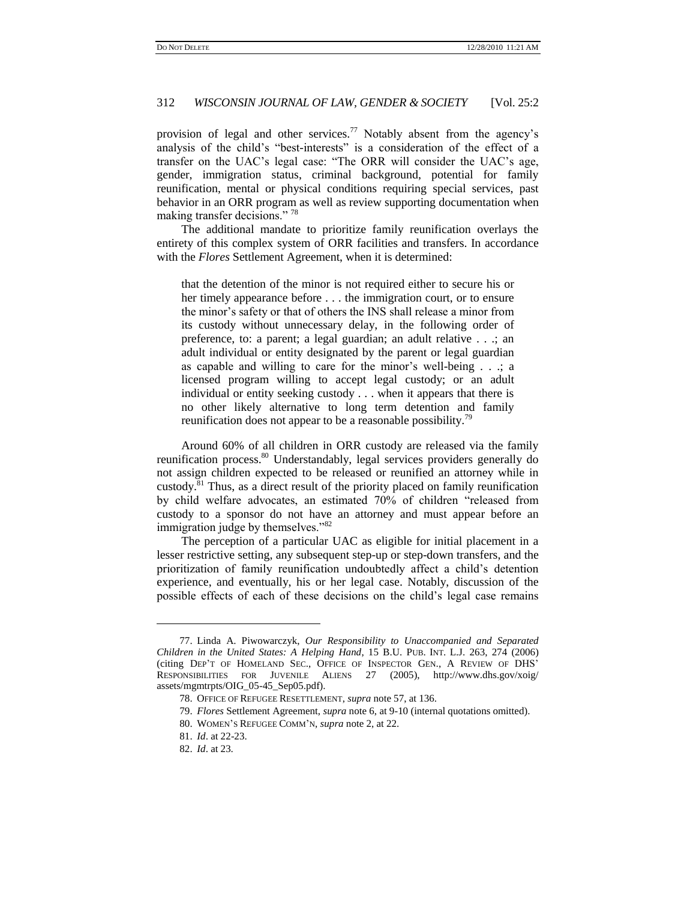provision of legal and other services.<sup>77</sup> Notably absent from the agency's analysis of the child's "best-interests" is a consideration of the effect of a transfer on the UAC's legal case: "The ORR will consider the UAC's age, gender, immigration status, criminal background, potential for family reunification, mental or physical conditions requiring special services, past behavior in an ORR program as well as review supporting documentation when making transfer decisions."<sup>78</sup>

The additional mandate to prioritize family reunification overlays the entirety of this complex system of ORR facilities and transfers. In accordance with the *Flores* Settlement Agreement, when it is determined:

that the detention of the minor is not required either to secure his or her timely appearance before . . . the immigration court, or to ensure the minor's safety or that of others the INS shall release a minor from its custody without unnecessary delay, in the following order of preference, to: a parent; a legal guardian; an adult relative . . .; an adult individual or entity designated by the parent or legal guardian as capable and willing to care for the minor's well-being . . .; a licensed program willing to accept legal custody; or an adult individual or entity seeking custody . . . when it appears that there is no other likely alternative to long term detention and family reunification does not appear to be a reasonable possibility.<sup>79</sup>

Around 60% of all children in ORR custody are released via the family reunification process.<sup>80</sup> Understandably, legal services providers generally do not assign children expected to be released or reunified an attorney while in custody.<sup>81</sup> Thus, as a direct result of the priority placed on family reunification by child welfare advocates, an estimated 70% of children "released from custody to a sponsor do not have an attorney and must appear before an immigration judge by themselves."<sup>82</sup>

The perception of a particular UAC as eligible for initial placement in a lesser restrictive setting, any subsequent step-up or step-down transfers, and the prioritization of family reunification undoubtedly affect a child's detention experience, and eventually, his or her legal case. Notably, discussion of the possible effects of each of these decisions on the child's legal case remains

<sup>77.</sup> Linda A. Piwowarczyk, *Our Responsibility to Unaccompanied and Separated Children in the United States: A Helping Hand*, 15 B.U. PUB. INT. L.J. 263, 274 (2006) (citing DEP'T OF HOMELAND SEC., OFFICE OF INSPECTOR GEN., A REVIEW OF DHS' RESPONSIBILITIES FOR JUVENILE ALIENS 27 (2005), http://www.dhs.gov/xoig/ assets/mgmtrpts/OIG\_05-45\_Sep05.pdf).

<sup>78.</sup> OFFICE OF REFUGEE RESETTLEMENT, *supra* note 57, at 136.

<sup>79.</sup> *Flores* Settlement Agreement, *supra* note 6, at 9-10 (internal quotations omitted).

<sup>80.</sup> WOMEN'S REFUGEE COMM'N, *supra* note 2, at 22.

<sup>81.</sup> *Id*. at 22-23.

<sup>82.</sup> *Id*. at 23.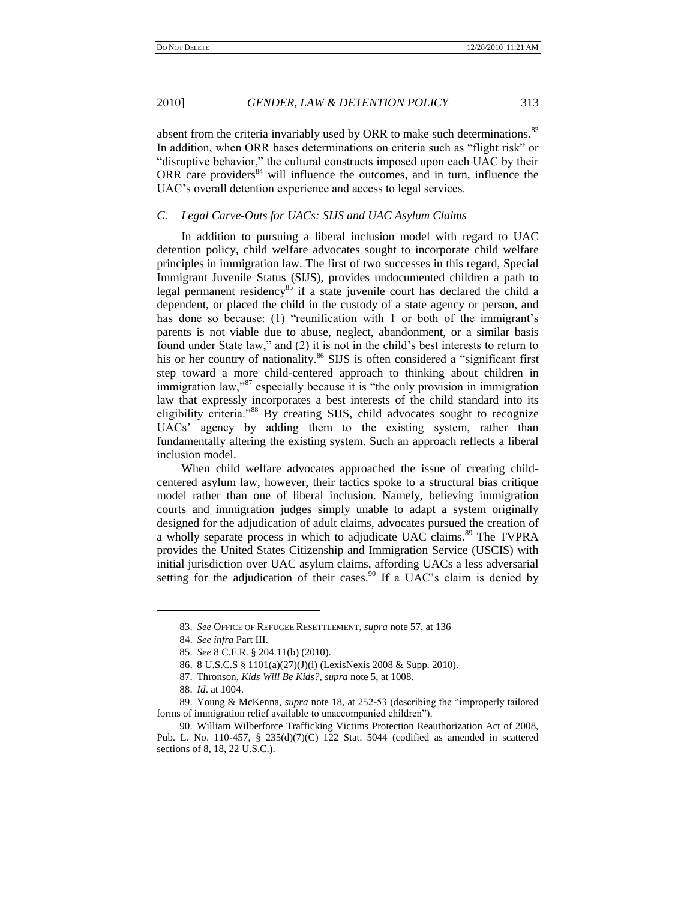absent from the criteria invariably used by ORR to make such determinations.<sup>83</sup> In addition, when ORR bases determinations on criteria such as "flight risk" or "disruptive behavior," the cultural constructs imposed upon each UAC by their ORR care providers $84$  will influence the outcomes, and in turn, influence the UAC's overall detention experience and access to legal services.

#### *C. Legal Carve-Outs for UACs: SIJS and UAC Asylum Claims*

In addition to pursuing a liberal inclusion model with regard to UAC detention policy, child welfare advocates sought to incorporate child welfare principles in immigration law. The first of two successes in this regard, Special Immigrant Juvenile Status (SIJS), provides undocumented children a path to legal permanent residency<sup>85</sup> if a state juvenile court has declared the child a dependent, or placed the child in the custody of a state agency or person, and has done so because: (1) "reunification with 1 or both of the immigrant's parents is not viable due to abuse, neglect, abandonment, or a similar basis found under State law," and (2) it is not in the child's best interests to return to his or her country of nationality.<sup>86</sup> SIJS is often considered a "significant first step toward a more child-centered approach to thinking about children in immigration law,  $\frac{87}{3}$  especially because it is "the only provision in immigration law that expressly incorporates a best interests of the child standard into its eligibility criteria."<sup>88</sup> By creating SIJS, child advocates sought to recognize UACs' agency by adding them to the existing system, rather than fundamentally altering the existing system. Such an approach reflects a liberal inclusion model.

When child welfare advocates approached the issue of creating childcentered asylum law, however, their tactics spoke to a structural bias critique model rather than one of liberal inclusion. Namely, believing immigration courts and immigration judges simply unable to adapt a system originally designed for the adjudication of adult claims, advocates pursued the creation of a wholly separate process in which to adjudicate UAC claims.<sup>89</sup> The TVPRA provides the United States Citizenship and Immigration Service (USCIS) with initial jurisdiction over UAC asylum claims, affording UACs a less adversarial setting for the adjudication of their cases.<sup>90</sup> If a UAC's claim is denied by

<sup>83.</sup> *See* OFFICE OF REFUGEE RESETTLEMENT, *supra* note 57, at 136

<sup>84.</sup> *See infra* Part III.

<sup>85.</sup> *See* 8 C.F.R. § 204.11(b) (2010).

<sup>86.</sup> 8 U.S.C.S § 1101(a)(27)(J)(i) (LexisNexis 2008 & Supp. 2010).

<sup>87.</sup> Thronson, *Kids Will Be Kids?*, *supra* note 5, at 1008.

<sup>88.</sup> *Id*. at 1004.

<sup>89.</sup> Young & McKenna, *supra* note 18, at 252-53 (describing the "improperly tailored") forms of immigration relief available to unaccompanied children").

<sup>90.</sup> William Wilberforce Trafficking Victims Protection Reauthorization Act of 2008, Pub. L. No. 110-457, § 235(d)(7)(C) 122 Stat. 5044 (codified as amended in scattered sections of 8, 18, 22 U.S.C.).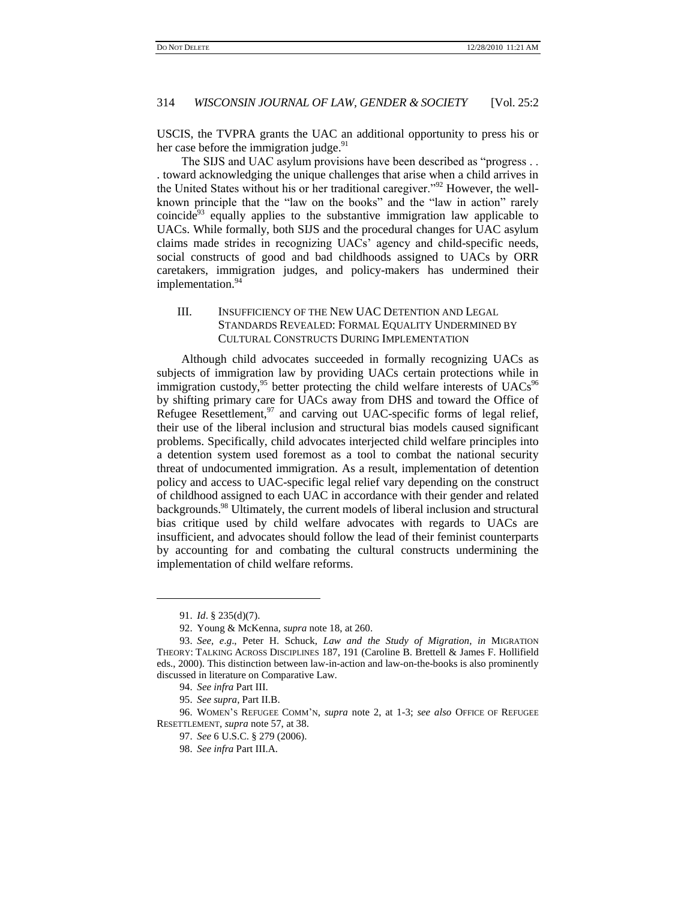USCIS, the TVPRA grants the UAC an additional opportunity to press his or her case before the immigration judge.<sup>91</sup>

The SIJS and UAC asylum provisions have been described as "progress... . toward acknowledging the unique challenges that arise when a child arrives in the United States without his or her traditional caregiver."<sup>92</sup> However, the wellknown principle that the "law on the books" and the "law in action" rarely coincide<sup>93</sup> equally applies to the substantive immigration law applicable to UACs. While formally, both SIJS and the procedural changes for UAC asylum claims made strides in recognizing UACs' agency and child-specific needs, social constructs of good and bad childhoods assigned to UACs by ORR caretakers, immigration judges, and policy-makers has undermined their implementation.<sup>94</sup>

## III. INSUFFICIENCY OF THE NEW UAC DETENTION AND LEGAL STANDARDS REVEALED: FORMAL EQUALITY UNDERMINED BY CULTURAL CONSTRUCTS DURING IMPLEMENTATION

Although child advocates succeeded in formally recognizing UACs as subjects of immigration law by providing UACs certain protections while in immigration custody, $95$  better protecting the child welfare interests of UACs $96$ by shifting primary care for UACs away from DHS and toward the Office of Refugee Resettlement,<sup>97</sup> and carving out UAC-specific forms of legal relief, their use of the liberal inclusion and structural bias models caused significant problems. Specifically, child advocates interjected child welfare principles into a detention system used foremost as a tool to combat the national security threat of undocumented immigration. As a result, implementation of detention policy and access to UAC-specific legal relief vary depending on the construct of childhood assigned to each UAC in accordance with their gender and related backgrounds.<sup>98</sup> Ultimately, the current models of liberal inclusion and structural bias critique used by child welfare advocates with regards to UACs are insufficient, and advocates should follow the lead of their feminist counterparts by accounting for and combating the cultural constructs undermining the implementation of child welfare reforms.

<sup>91.</sup> *Id*. § 235(d)(7).

<sup>92.</sup> Young & McKenna, *supra* note 18, at 260.

<sup>93.</sup> *See, e*.*g*., Peter H. Schuck, *Law and the Study of Migration*, *in* MIGRATION THEORY: TALKING ACROSS DISCIPLINES 187, 191 (Caroline B. Brettell & James F. Hollifield eds., 2000). This distinction between law-in-action and law-on-the-books is also prominently discussed in literature on Comparative Law.

<sup>94.</sup> *See infra* Part III.

<sup>95.</sup> *See supra*, Part II.B.

<sup>96.</sup> WOMEN'S REFUGEE COMM'N, *supra* note 2, at 1-3; *see also* OFFICE OF REFUGEE RESETTLEMENT, *supra* note 57, at 38.

<sup>97.</sup> *See* 6 U.S.C. § 279 (2006).

<sup>98.</sup> *See infra* Part III.A.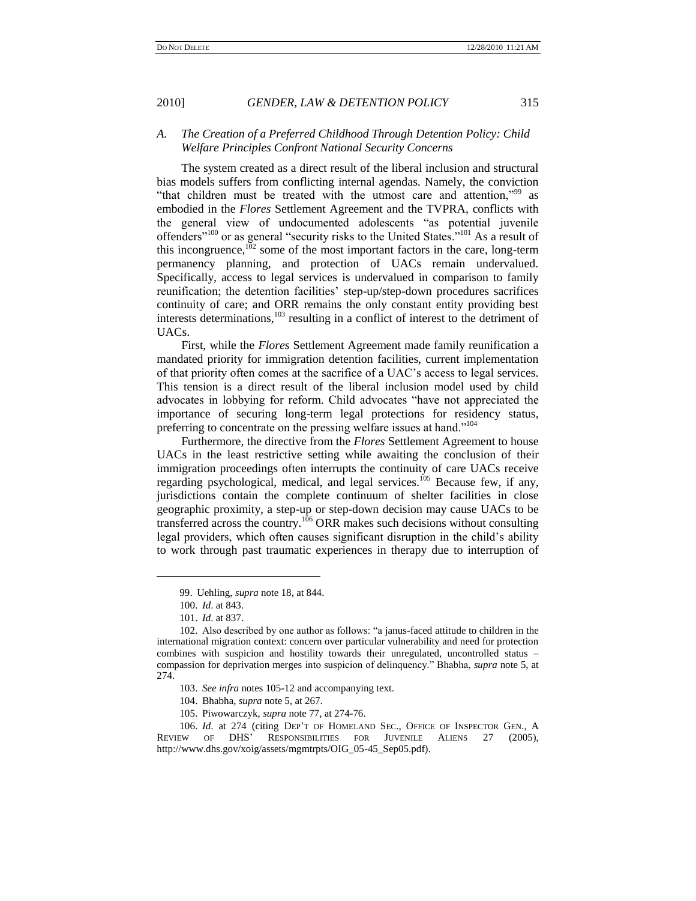## *A. The Creation of a Preferred Childhood Through Detention Policy: Child Welfare Principles Confront National Security Concerns*

The system created as a direct result of the liberal inclusion and structural bias models suffers from conflicting internal agendas. Namely, the conviction "that children must be treated with the utmost care and attention,"<sup>99</sup> as embodied in the *Flores* Settlement Agreement and the TVPRA, conflicts with the general view of undocumented adolescents "as potential juvenile offenders"<sup>100</sup> or as general "security risks to the United States."<sup>101</sup> As a result of this incongruence, $102$  some of the most important factors in the care, long-term permanency planning, and protection of UACs remain undervalued. Specifically, access to legal services is undervalued in comparison to family reunification; the detention facilities' step-up/step-down procedures sacrifices continuity of care; and ORR remains the only constant entity providing best interests determinations,<sup>103</sup> resulting in a conflict of interest to the detriment of UACs.

First, while the *Flores* Settlement Agreement made family reunification a mandated priority for immigration detention facilities, current implementation of that priority often comes at the sacrifice of a UAC's access to legal services. This tension is a direct result of the liberal inclusion model used by child advocates in lobbying for reform. Child advocates "have not appreciated the importance of securing long-term legal protections for residency status, preferring to concentrate on the pressing welfare issues at hand."<sup>104</sup>

Furthermore, the directive from the *Flores* Settlement Agreement to house UACs in the least restrictive setting while awaiting the conclusion of their immigration proceedings often interrupts the continuity of care UACs receive regarding psychological, medical, and legal services.<sup>105</sup> Because few, if any, jurisdictions contain the complete continuum of shelter facilities in close geographic proximity, a step-up or step-down decision may cause UACs to be transferred across the country.<sup>106</sup> ORR makes such decisions without consulting legal providers, which often causes significant disruption in the child's ability to work through past traumatic experiences in therapy due to interruption of

l

105. Piwowarczyk, *supra* note 77, at 274-76.

106. *Id*. at 274 (citing DEP'T OF HOMELAND SEC., OFFICE OF INSPECTOR GEN., A REVIEW OF DHS' RESPONSIBILITIES FOR JUVENILE ALIENS 27 (2005), http://www.dhs.gov/xoig/assets/mgmtrpts/OIG\_05-45\_Sep05.pdf).

<sup>99.</sup> Uehling, *supra* note 18, at 844.

<sup>100.</sup> *Id*. at 843.

<sup>101.</sup> *Id*. at 837.

<sup>102.</sup> Also described by one author as follows: "a janus-faced attitude to children in the international migration context: concern over particular vulnerability and need for protection combines with suspicion and hostility towards their unregulated, uncontrolled status – compassion for deprivation merges into suspicion of delinquency.‖ Bhabha, *supra* note 5, at 274.

<sup>103.</sup> *See infra* notes 105-12 and accompanying text.

<sup>104.</sup> Bhabha, *supra* note 5, at 267.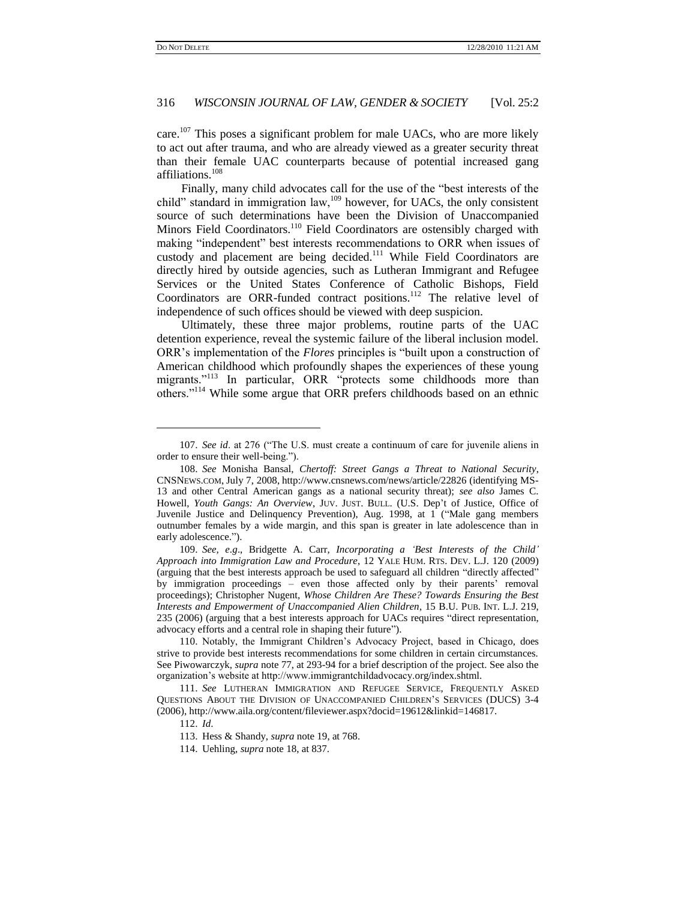care.<sup>107</sup> This poses a significant problem for male UACs, who are more likely to act out after trauma, and who are already viewed as a greater security threat than their female UAC counterparts because of potential increased gang affiliations.<sup>108</sup>

Finally, many child advocates call for the use of the "best interests of the child" standard in immigration law, $109$  however, for UACs, the only consistent source of such determinations have been the Division of Unaccompanied Minors Field Coordinators.<sup>110</sup> Field Coordinators are ostensibly charged with making "independent" best interests recommendations to ORR when issues of custody and placement are being decided.<sup>111</sup> While Field Coordinators are directly hired by outside agencies, such as Lutheran Immigrant and Refugee Services or the United States Conference of Catholic Bishops, Field Coordinators are ORR-funded contract positions.<sup>112</sup> The relative level of independence of such offices should be viewed with deep suspicion.

Ultimately, these three major problems, routine parts of the UAC detention experience, reveal the systemic failure of the liberal inclusion model. ORR's implementation of the *Flores* principles is "built upon a construction of American childhood which profoundly shapes the experiences of these young migrants."<sup>113</sup> In particular, ORR "protects some childhoods more than others."<sup>114</sup> While some argue that ORR prefers childhoods based on an ethnic

<sup>107.</sup> See id. at 276 ("The U.S. must create a continuum of care for juvenile aliens in order to ensure their well-being.").

<sup>108.</sup> *See* Monisha Bansal, *Chertoff: Street Gangs a Threat to National Security*, CNSNEWS.COM, July 7, 2008, http://www.cnsnews.com/news/article/22826 (identifying MS-13 and other Central American gangs as a national security threat); *see also* James C. Howell, *Youth Gangs: An Overview*, JUV. JUST. BULL. (U.S. Dep't of Justice, Office of Juvenile Justice and Delinquency Prevention), Aug. 1998, at 1 ("Male gang members outnumber females by a wide margin, and this span is greater in late adolescence than in early adolescence.").

<sup>109.</sup> *See, e*.*g*., Bridgette A. Carr, *Incorporating a "Best Interests of the Child" Approach into Immigration Law and Procedure*, 12 YALE HUM. RTS. DEV. L.J. 120 (2009) (arguing that the best interests approach be used to safeguard all children "directly affected" by immigration proceedings – even those affected only by their parents' removal proceedings); Christopher Nugent, *Whose Children Are These? Towards Ensuring the Best Interests and Empowerment of Unaccompanied Alien Children*, 15 B.U. PUB. INT. L.J. 219, 235 (2006) (arguing that a best interests approach for UACs requires "direct representation, advocacy efforts and a central role in shaping their future").

<sup>110.</sup> Notably, the Immigrant Children's Advocacy Project, based in Chicago, does strive to provide best interests recommendations for some children in certain circumstances. See Piwowarczyk, *supra* note 77, at 293-94 for a brief description of the project. See also the organization's website at http://www.immigrantchildadvocacy.org/index.shtml.

<sup>111.</sup> *See* LUTHERAN IMMIGRATION AND REFUGEE SERVICE, FREQUENTLY ASKED QUESTIONS ABOUT THE DIVISION OF UNACCOMPANIED CHILDREN'S SERVICES (DUCS) 3-4 (2006), http://www.aila.org/content/fileviewer.aspx?docid=19612&linkid=146817.

<sup>112.</sup> *Id*.

<sup>113.</sup> Hess & Shandy, *supra* note 19, at 768.

<sup>114.</sup> Uehling, *supra* note 18, at 837.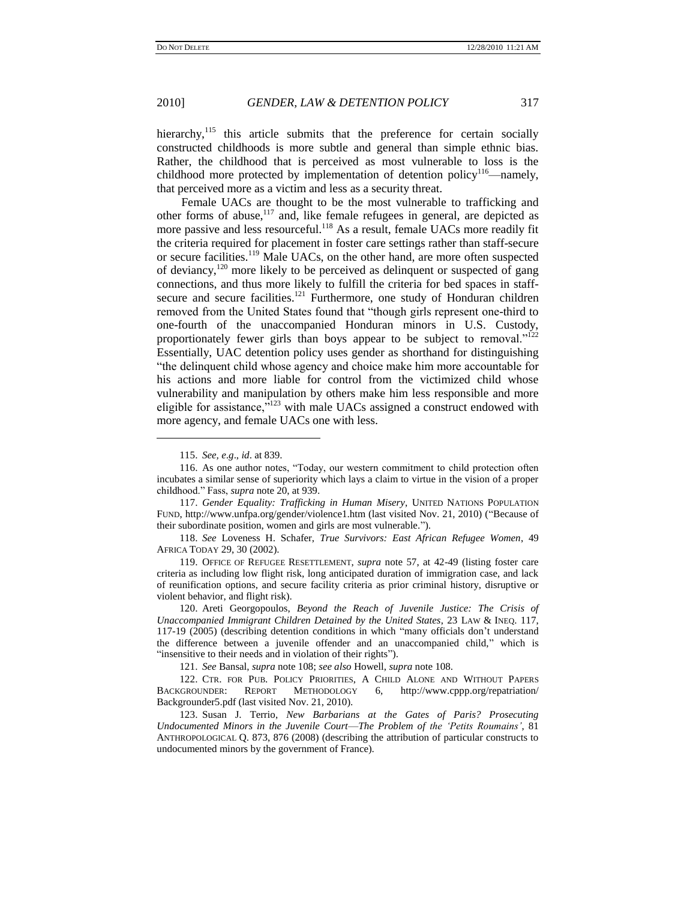hierarchy,<sup>115</sup> this article submits that the preference for certain socially constructed childhoods is more subtle and general than simple ethnic bias. Rather, the childhood that is perceived as most vulnerable to loss is the childhood more protected by implementation of detention policy<sup>116</sup>—namely, that perceived more as a victim and less as a security threat.

Female UACs are thought to be the most vulnerable to trafficking and other forms of abuse,<sup>117</sup> and, like female refugees in general, are depicted as more passive and less resourceful.<sup>118</sup> As a result, female UACs more readily fit the criteria required for placement in foster care settings rather than staff-secure or secure facilities.<sup>119</sup> Male UACs, on the other hand, are more often suspected of deviancy,<sup>120</sup> more likely to be perceived as delinquent or suspected of gang connections, and thus more likely to fulfill the criteria for bed spaces in staffsecure and secure facilities. $121$  Furthermore, one study of Honduran children removed from the United States found that "though girls represent one-third to one-fourth of the unaccompanied Honduran minors in U.S. Custody, proportionately fewer girls than boys appear to be subject to removal."<sup>122</sup> Essentially, UAC detention policy uses gender as shorthand for distinguishing ―the delinquent child whose agency and choice make him more accountable for his actions and more liable for control from the victimized child whose vulnerability and manipulation by others make him less responsible and more eligible for assistance,<sup>5123</sup> with male UACs assigned a construct endowed with more agency, and female UACs one with less.

l

117. *Gender Equality: Trafficking in Human Misery*, UNITED NATIONS POPULATION FUND, http://www.unfpa.org/gender/violence1.htm (last visited Nov. 21, 2010) ("Because of their subordinate position, women and girls are most vulnerable.").

118. *See* Loveness H. Schafer, *True Survivors: East African Refugee Women*, 49 AFRICA TODAY 29, 30 (2002).

119. OFFICE OF REFUGEE RESETTLEMENT, *supra* note 57, at 42-49 (listing foster care criteria as including low flight risk, long anticipated duration of immigration case, and lack of reunification options, and secure facility criteria as prior criminal history, disruptive or violent behavior, and flight risk).

120. Areti Georgopoulos, *Beyond the Reach of Juvenile Justice: The Crisis of Unaccompanied Immigrant Children Detained by the United States*, 23 LAW & INEQ. 117, 117-19 (2005) (describing detention conditions in which "many officials don't understand the difference between a juvenile offender and an unaccompanied child," which is "insensitive to their needs and in violation of their rights").

121. *See* Bansal, *supra* note 108; *see also* Howell, *supra* note 108.

122. CTR. FOR PUB. POLICY PRIORITIES, A CHILD ALONE AND WITHOUT PAPERS BACKGROUNDER: REPORT METHODOLOGY 6, http://www.cppp.org/repatriation/ Backgrounder5.pdf (last visited Nov. 21, 2010).

123. Susan J. Terrio, *New Barbarians at the Gates of Paris? Prosecuting Undocumented Minors in the Juvenile Court*—*The Problem of the "Petits Roumains"*, 81 ANTHROPOLOGICAL Q. 873, 876 (2008) (describing the attribution of particular constructs to undocumented minors by the government of France).

<sup>115.</sup> *See, e*.*g*., *id*. at 839.

<sup>116.</sup> As one author notes, "Today, our western commitment to child protection often incubates a similar sense of superiority which lays a claim to virtue in the vision of a proper childhood." Fass, *supra* note 20, at 939.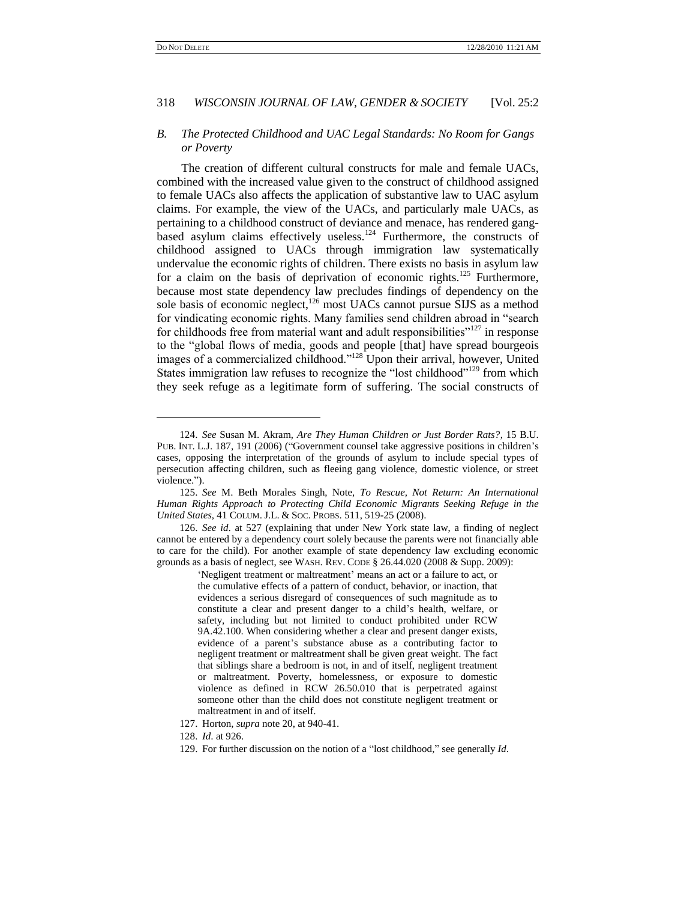l

#### 318 *WISCONSIN JOURNAL OF LAW, GENDER & SOCIETY* [Vol. 25:2

#### *B. The Protected Childhood and UAC Legal Standards: No Room for Gangs or Poverty*

The creation of different cultural constructs for male and female UACs, combined with the increased value given to the construct of childhood assigned to female UACs also affects the application of substantive law to UAC asylum claims. For example, the view of the UACs, and particularly male UACs, as pertaining to a childhood construct of deviance and menace, has rendered gangbased asylum claims effectively useless.<sup>124</sup> Furthermore, the constructs of childhood assigned to UACs through immigration law systematically undervalue the economic rights of children. There exists no basis in asylum law for a claim on the basis of deprivation of economic rights.<sup>125</sup> Furthermore, because most state dependency law precludes findings of dependency on the sole basis of economic neglect,<sup>126</sup> most UACs cannot pursue SIJS as a method for vindicating economic rights. Many families send children abroad in "search for childhoods free from material want and adult responsibilities"<sup>127</sup> in response to the "global flows of media, goods and people [that] have spread bourgeois images of a commercialized childhood."<sup>128</sup> Upon their arrival, however, United States immigration law refuses to recognize the "lost childhood"<sup>129</sup> from which they seek refuge as a legitimate form of suffering. The social constructs of

‗Negligent treatment or maltreatment' means an act or a failure to act, or the cumulative effects of a pattern of conduct, behavior, or inaction, that evidences a serious disregard of consequences of such magnitude as to constitute a clear and present danger to a child's health, welfare, or safety, including but not limited to conduct prohibited under RCW 9A.42.100. When considering whether a clear and present danger exists, evidence of a parent's substance abuse as a contributing factor to negligent treatment or maltreatment shall be given great weight. The fact that siblings share a bedroom is not, in and of itself, negligent treatment or maltreatment. Poverty, homelessness, or exposure to domestic violence as defined in RCW 26.50.010 that is perpetrated against someone other than the child does not constitute negligent treatment or maltreatment in and of itself.

<sup>124.</sup> *See* Susan M. Akram, *Are They Human Children or Just Border Rats?*, 15 B.U. PUB. INT. L.J. 187, 191 (2006) ("Government counsel take aggressive positions in children's cases, opposing the interpretation of the grounds of asylum to include special types of persecution affecting children, such as fleeing gang violence, domestic violence, or street violence.").

<sup>125.</sup> *See* M. Beth Morales Singh, Note, *To Rescue, Not Return: An International Human Rights Approach to Protecting Child Economic Migrants Seeking Refuge in the United States*, 41 COLUM. J.L. & SOC. PROBS. 511, 519-25 (2008).

<sup>126.</sup> *See id*. at 527 (explaining that under New York state law, a finding of neglect cannot be entered by a dependency court solely because the parents were not financially able to care for the child). For another example of state dependency law excluding economic grounds as a basis of neglect, see WASH. REV. CODE § 26.44.020 (2008 & Supp. 2009):

<sup>127.</sup> Horton, *supra* note 20, at 940-41.

<sup>128.</sup> *Id*. at 926.

<sup>129.</sup> For further discussion on the notion of a "lost childhood," see generally *Id*.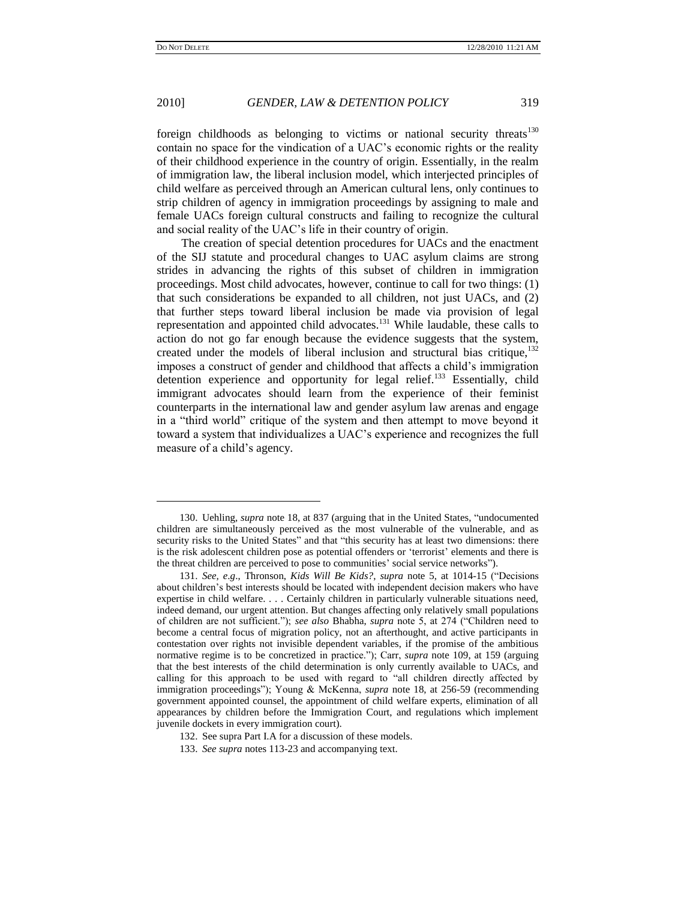l

## 2010] *GENDER, LAW & DETENTION POLICY* 319

foreign childhoods as belonging to victims or national security threats $130$ contain no space for the vindication of a UAC's economic rights or the reality of their childhood experience in the country of origin. Essentially, in the realm of immigration law, the liberal inclusion model, which interjected principles of child welfare as perceived through an American cultural lens, only continues to strip children of agency in immigration proceedings by assigning to male and female UACs foreign cultural constructs and failing to recognize the cultural and social reality of the UAC's life in their country of origin.

The creation of special detention procedures for UACs and the enactment of the SIJ statute and procedural changes to UAC asylum claims are strong strides in advancing the rights of this subset of children in immigration proceedings. Most child advocates, however, continue to call for two things: (1) that such considerations be expanded to all children, not just UACs, and (2) that further steps toward liberal inclusion be made via provision of legal representation and appointed child advocates.<sup>131</sup> While laudable, these calls to action do not go far enough because the evidence suggests that the system, created under the models of liberal inclusion and structural bias critique, $132$ imposes a construct of gender and childhood that affects a child's immigration detention experience and opportunity for legal relief.<sup>133</sup> Essentially, child immigrant advocates should learn from the experience of their feminist counterparts in the international law and gender asylum law arenas and engage in a "third world" critique of the system and then attempt to move beyond it toward a system that individualizes a UAC's experience and recognizes the full measure of a child's agency.

<sup>130.</sup> Uehling, *supra* note 18, at 837 (arguing that in the United States, "undocumented children are simultaneously perceived as the most vulnerable of the vulnerable, and as security risks to the United States" and that "this security has at least two dimensions: there is the risk adolescent children pose as potential offenders or 'terrorist' elements and there is the threat children are perceived to pose to communities' social service networks").

<sup>131.</sup> *See, e.g., Thronson, Kids Will Be Kids?, supra note 5, at 1014-15 ("Decisions* about children's best interests should be located with independent decision makers who have expertise in child welfare. . . . Certainly children in particularly vulnerable situations need, indeed demand, our urgent attention. But changes affecting only relatively small populations of children are not sufficient."); *see also* Bhabha, *supra* note 5, at 274 ("Children need to become a central focus of migration policy, not an afterthought, and active participants in contestation over rights not invisible dependent variables, if the promise of the ambitious normative regime is to be concretized in practice."); Carr, *supra* note 109, at 159 (arguing that the best interests of the child determination is only currently available to UACs, and calling for this approach to be used with regard to "all children directly affected by immigration proceedings"); Young & McKenna, *supra* note 18, at 256-59 (recommending government appointed counsel, the appointment of child welfare experts, elimination of all appearances by children before the Immigration Court, and regulations which implement juvenile dockets in every immigration court).

<sup>132.</sup> See supra Part I.A for a discussion of these models.

<sup>133.</sup> *See supra* notes 113-23 and accompanying text.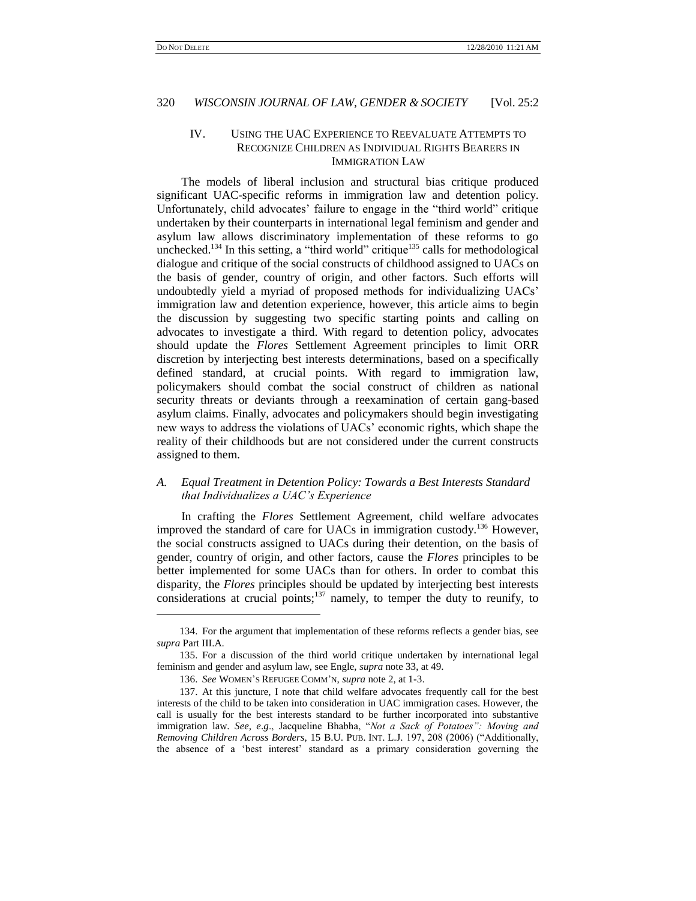$\overline{\phantom{a}}$ 

#### 320 *WISCONSIN JOURNAL OF LAW, GENDER & SOCIETY* [Vol. 25:2

## IV. USING THE UAC EXPERIENCE TO REEVALUATE ATTEMPTS TO RECOGNIZE CHILDREN AS INDIVIDUAL RIGHTS BEARERS IN IMMIGRATION LAW

The models of liberal inclusion and structural bias critique produced significant UAC-specific reforms in immigration law and detention policy. Unfortunately, child advocates' failure to engage in the "third world" critique undertaken by their counterparts in international legal feminism and gender and asylum law allows discriminatory implementation of these reforms to go unchecked.<sup>134</sup> In this setting, a "third world" critique<sup>135</sup> calls for methodological dialogue and critique of the social constructs of childhood assigned to UACs on the basis of gender, country of origin, and other factors. Such efforts will undoubtedly yield a myriad of proposed methods for individualizing UACs' immigration law and detention experience, however, this article aims to begin the discussion by suggesting two specific starting points and calling on advocates to investigate a third. With regard to detention policy, advocates should update the *Flores* Settlement Agreement principles to limit ORR discretion by interjecting best interests determinations, based on a specifically defined standard, at crucial points. With regard to immigration law, policymakers should combat the social construct of children as national security threats or deviants through a reexamination of certain gang-based asylum claims. Finally, advocates and policymakers should begin investigating new ways to address the violations of UACs' economic rights, which shape the reality of their childhoods but are not considered under the current constructs assigned to them.

#### *A. Equal Treatment in Detention Policy: Towards a Best Interests Standard that Individualizes a UAC"s Experience*

In crafting the *Flores* Settlement Agreement, child welfare advocates improved the standard of care for UACs in immigration custody.<sup>136</sup> However, the social constructs assigned to UACs during their detention, on the basis of gender, country of origin, and other factors, cause the *Flores* principles to be better implemented for some UACs than for others. In order to combat this disparity, the *Flores* principles should be updated by interjecting best interests considerations at crucial points;<sup>137</sup> namely, to temper the duty to reunify, to

<sup>134.</sup> For the argument that implementation of these reforms reflects a gender bias, see *supra* Part III.A.

<sup>135.</sup> For a discussion of the third world critique undertaken by international legal feminism and gender and asylum law, see Engle, *supra* note 33, at 49.

<sup>136.</sup> *See* WOMEN'S REFUGEE COMM'N, *supra* note 2, at 1-3.

<sup>137.</sup> At this juncture, I note that child welfare advocates frequently call for the best interests of the child to be taken into consideration in UAC immigration cases. However, the call is usually for the best interests standard to be further incorporated into substantive immigration law. See, e.g., Jacqueline Bhabha, "Not a Sack of Potatoes": Moving and *Removing Children Across Borders*, 15 B.U. PUB. INT. L.J. 197, 208 (2006) ("Additionally, the absence of a 'best interest' standard as a primary consideration governing the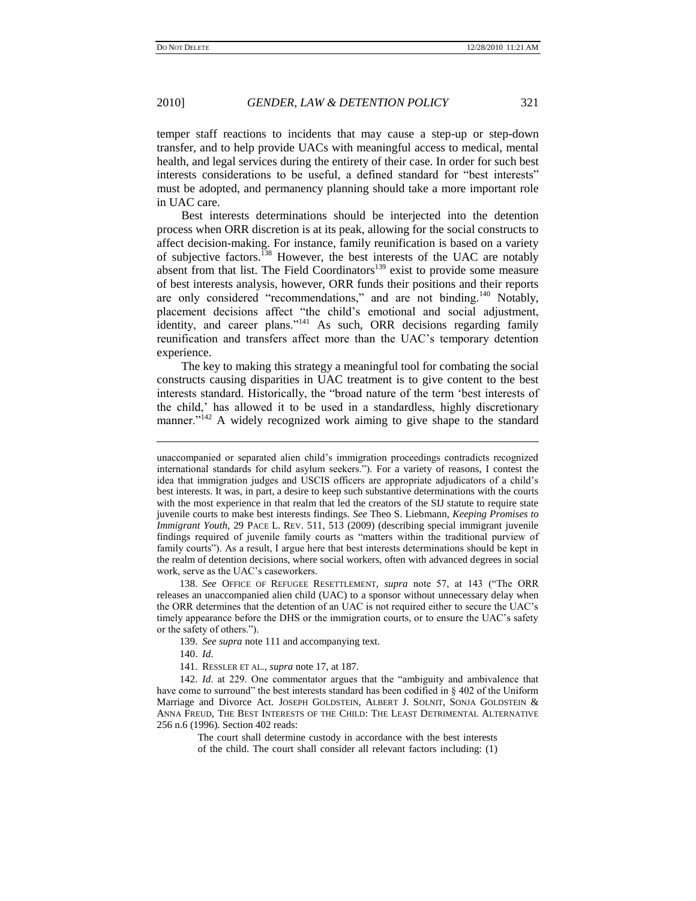temper staff reactions to incidents that may cause a step-up or step-down transfer, and to help provide UACs with meaningful access to medical, mental health, and legal services during the entirety of their case. In order for such best interests considerations to be useful, a defined standard for "best interests" must be adopted, and permanency planning should take a more important role in UAC care.

Best interests determinations should be interjected into the detention process when ORR discretion is at its peak, allowing for the social constructs to affect decision-making. For instance, family reunification is based on a variety of subjective factors.<sup>138</sup> However, the best interests of the UAC are notably absent from that list. The Field Coordinators<sup>139</sup> exist to provide some measure of best interests analysis, however, ORR funds their positions and their reports are only considered "recommendations," and are not binding.<sup>140</sup> Notably, placement decisions affect "the child's emotional and social adjustment, identity, and career plans."<sup>141</sup> As such, ORR decisions regarding family reunification and transfers affect more than the UAC's temporary detention experience.

The key to making this strategy a meaningful tool for combating the social constructs causing disparities in UAC treatment is to give content to the best interests standard. Historically, the "broad nature of the term 'best interests of the child,' has allowed it to be used in a standardless, highly discretionary manner."<sup>142</sup> A widely recognized work aiming to give shape to the standard

138. See OFFICE OF REFUGEE RESETTLEMENT, *supra* note 57, at 143 ("The ORR releases an unaccompanied alien child (UAC) to a sponsor without unnecessary delay when the ORR determines that the detention of an UAC is not required either to secure the UAC's timely appearance before the DHS or the immigration courts, or to ensure the UAC's safety or the safety of others.").

139. *See supra* note 111 and accompanying text.

140. *Id*.

l

141. RESSLER ET AL., *supra* note 17, at 187.

142. *Id.* at 229. One commentator argues that the "ambiguity and ambivalence that have come to surround" the best interests standard has been codified in  $\S 402$  of the Uniform Marriage and Divorce Act. JOSEPH GOLDSTEIN, ALBERT J. SOLNIT, SONJA GOLDSTEIN & ANNA FREUD, THE BEST INTERESTS OF THE CHILD: THE LEAST DETRIMENTAL ALTERNATIVE 256 n.6 (1996). Section 402 reads:

> The court shall determine custody in accordance with the best interests of the child. The court shall consider all relevant factors including: (1)

unaccompanied or separated alien child's immigration proceedings contradicts recognized international standards for child asylum seekers."). For a variety of reasons, I contest the idea that immigration judges and USCIS officers are appropriate adjudicators of a child's best interests. It was, in part, a desire to keep such substantive determinations with the courts with the most experience in that realm that led the creators of the SIJ statute to require state juvenile courts to make best interests findings. *See* Theo S. Liebmann, *Keeping Promises to Immigrant Youth*, 29 PACE L. REV. 511, 513 (2009) (describing special immigrant juvenile findings required of juvenile family courts as "matters within the traditional purview of family courts"). As a result, I argue here that best interests determinations should be kept in the realm of detention decisions, where social workers, often with advanced degrees in social work, serve as the UAC's caseworkers.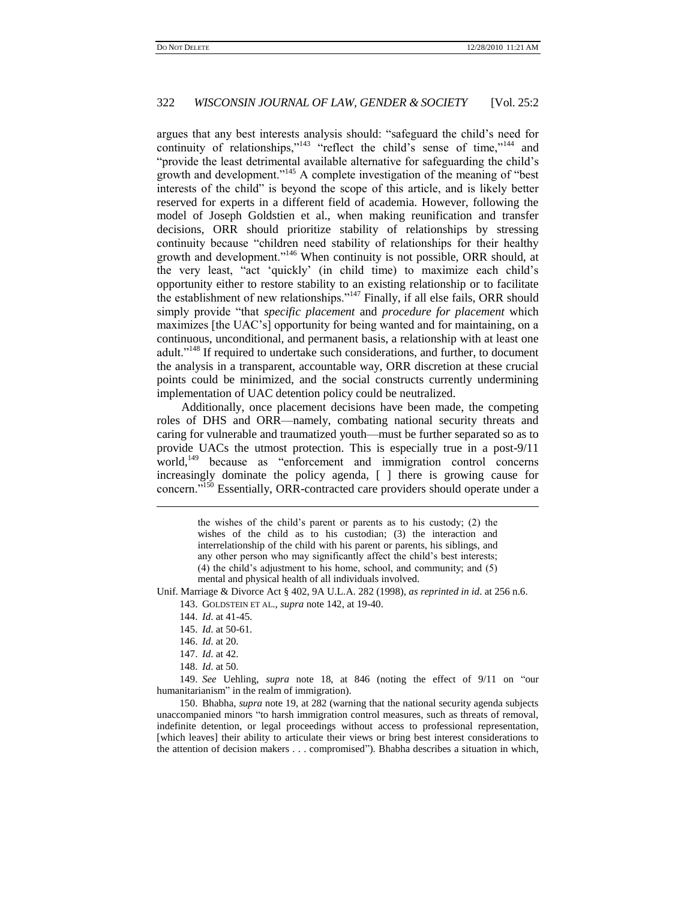argues that any best interests analysis should: "safeguard the child's need for continuity of relationships," $143$  "reflect the child's sense of time," $144$  and "provide the least detrimental available alternative for safeguarding the child's growth and development."<sup>145</sup> A complete investigation of the meaning of "best interests of the child" is beyond the scope of this article, and is likely better reserved for experts in a different field of academia. However, following the model of Joseph Goldstien et al., when making reunification and transfer decisions, ORR should prioritize stability of relationships by stressing continuity because "children need stability of relationships for their healthy growth and development."<sup>146</sup> When continuity is not possible, ORR should, at the very least, "act 'quickly' (in child time) to maximize each child's opportunity either to restore stability to an existing relationship or to facilitate the establishment of new relationships." $147$  Finally, if all else fails, ORR should simply provide "that *specific placement* and *procedure for placement* which maximizes [the UAC's] opportunity for being wanted and for maintaining, on a continuous, unconditional, and permanent basis, a relationship with at least one adult."<sup>148</sup> If required to undertake such considerations, and further, to document the analysis in a transparent, accountable way, ORR discretion at these crucial points could be minimized, and the social constructs currently undermining implementation of UAC detention policy could be neutralized.

Additionally, once placement decisions have been made, the competing roles of DHS and ORR—namely, combating national security threats and caring for vulnerable and traumatized youth—must be further separated so as to provide UACs the utmost protection. This is especially true in a post-9/11 world,<sup>149</sup> because as "enforcement and immigration control concerns increasingly dominate the policy agenda, [ ] there is growing cause for concern."<sup>150</sup> Essentially, ORR-contracted care providers should operate under a

> the wishes of the child's parent or parents as to his custody; (2) the wishes of the child as to his custodian; (3) the interaction and interrelationship of the child with his parent or parents, his siblings, and any other person who may significantly affect the child's best interests; (4) the child's adjustment to his home, school, and community; and (5) mental and physical health of all individuals involved.

Unif. Marriage & Divorce Act § 402, 9A U.L.A. 282 (1998), *as reprinted in id*. at 256 n.6.

- 143. GOLDSTEIN ET AL., *supra* note 142, at 19-40.
- 144. *Id*. at 41-45.
- 145. *Id*. at 50-61.
- 146. *Id*. at 20.

l

- 147. *Id*. at 42.
- 148. *Id*. at 50.

149. *See* Uehling, *supra* note 18, at 846 (noting the effect of 9/11 on "our humanitarianism" in the realm of immigration).

150. Bhabha, *supra* note 19, at 282 (warning that the national security agenda subjects unaccompanied minors "to harsh immigration control measures, such as threats of removal, indefinite detention, or legal proceedings without access to professional representation, [which leaves] their ability to articulate their views or bring best interest considerations to the attention of decision makers . . . compromised"). Bhabha describes a situation in which,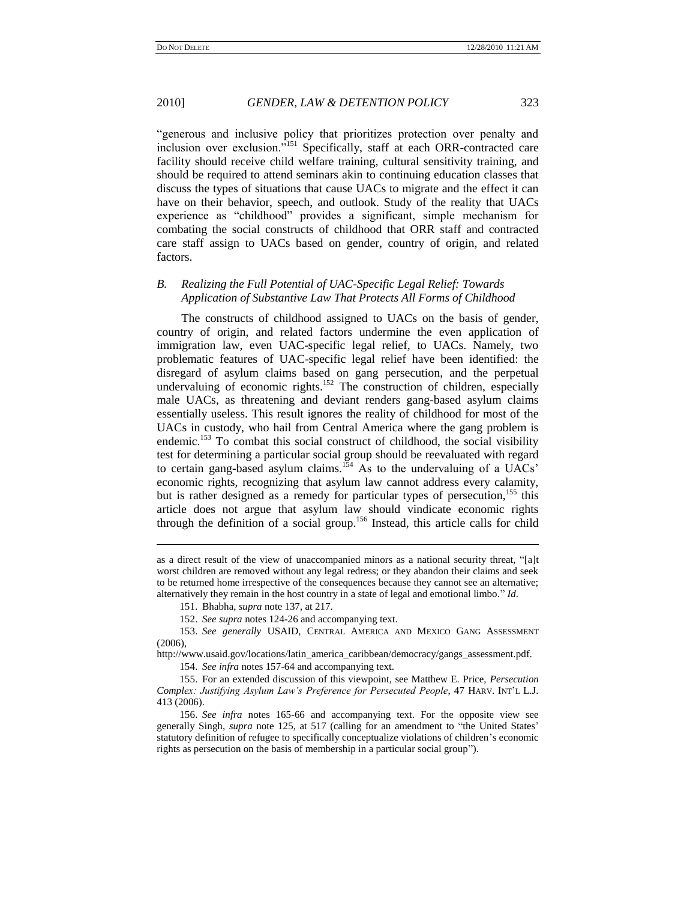―generous and inclusive policy that prioritizes protection over penalty and inclusion over exclusion."<sup>151</sup> Specifically, staff at each ORR-contracted care facility should receive child welfare training, cultural sensitivity training, and should be required to attend seminars akin to continuing education classes that discuss the types of situations that cause UACs to migrate and the effect it can have on their behavior, speech, and outlook. Study of the reality that UACs experience as "childhood" provides a significant, simple mechanism for combating the social constructs of childhood that ORR staff and contracted care staff assign to UACs based on gender, country of origin, and related factors.

#### *B. Realizing the Full Potential of UAC-Specific Legal Relief: Towards Application of Substantive Law That Protects All Forms of Childhood*

The constructs of childhood assigned to UACs on the basis of gender, country of origin, and related factors undermine the even application of immigration law, even UAC-specific legal relief, to UACs. Namely, two problematic features of UAC-specific legal relief have been identified: the disregard of asylum claims based on gang persecution, and the perpetual undervaluing of economic rights.<sup>152</sup> The construction of children, especially male UACs, as threatening and deviant renders gang-based asylum claims essentially useless. This result ignores the reality of childhood for most of the UACs in custody, who hail from Central America where the gang problem is endemic.<sup>153</sup> To combat this social construct of childhood, the social visibility test for determining a particular social group should be reevaluated with regard to certain gang-based asylum claims.<sup>154</sup> As to the undervaluing of a UACs' economic rights, recognizing that asylum law cannot address every calamity, but is rather designed as a remedy for particular types of persecution,<sup>155</sup> this article does not argue that asylum law should vindicate economic rights through the definition of a social group.<sup>156</sup> Instead, this article calls for child

l

152. *See supra* notes 124-26 and accompanying text.

153. *See generally* USAID, CENTRAL AMERICA AND MEXICO GANG ASSESSMENT  $(2006)$ ,

http://www.usaid.gov/locations/latin\_america\_caribbean/democracy/gangs\_assessment.pdf.

154. *See infra* notes 157-64 and accompanying text.

155. For an extended discussion of this viewpoint, see Matthew E. Price, *Persecution Complex: Justifying Asylum Law"s Preference for Persecuted People*, 47 HARV. INT'L L.J. 413 (2006).

156. *See infra* notes 165-66 and accompanying text. For the opposite view see generally Singh, *supra* note 125, at 517 (calling for an amendment to "the United States" statutory definition of refugee to specifically conceptualize violations of children's economic rights as persecution on the basis of membership in a particular social group").

as a direct result of the view of unaccompanied minors as a national security threat, "[a]t worst children are removed without any legal redress; or they abandon their claims and seek to be returned home irrespective of the consequences because they cannot see an alternative; alternatively they remain in the host country in a state of legal and emotional limbo." Id.

<sup>151.</sup> Bhabha, *supra* note 137, at 217.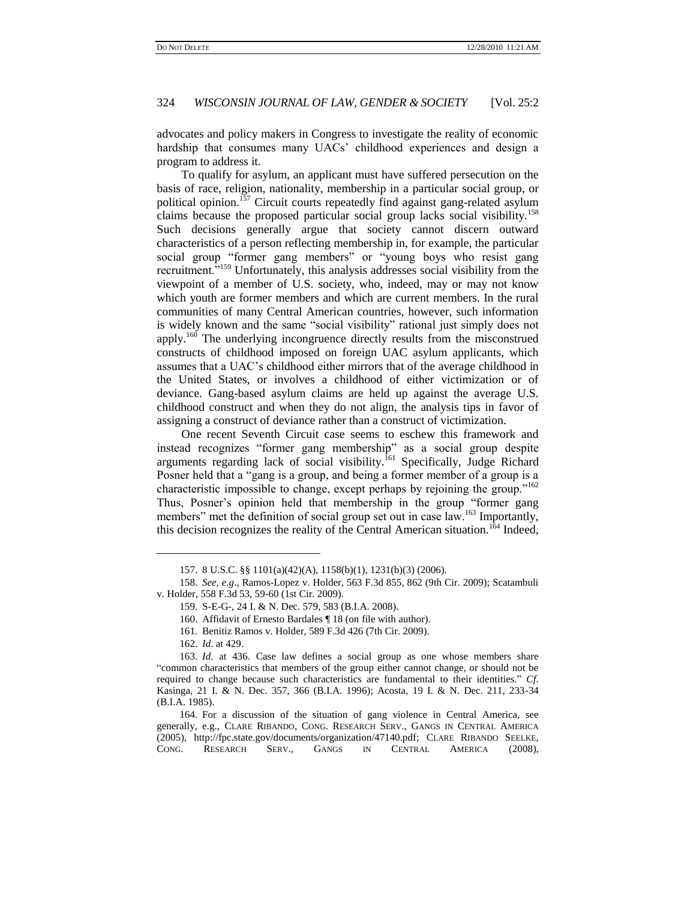advocates and policy makers in Congress to investigate the reality of economic hardship that consumes many UACs' childhood experiences and design a program to address it.

To qualify for asylum, an applicant must have suffered persecution on the basis of race, religion, nationality, membership in a particular social group, or political opinion.<sup>157</sup> Circuit courts repeatedly find against gang-related asylum claims because the proposed particular social group lacks social visibility.<sup>158</sup> Such decisions generally argue that society cannot discern outward characteristics of a person reflecting membership in, for example, the particular social group "former gang members" or "young boys who resist gang recruitment.<sup>5159</sup> Unfortunately, this analysis addresses social visibility from the viewpoint of a member of U.S. society, who, indeed, may or may not know which youth are former members and which are current members. In the rural communities of many Central American countries, however, such information is widely known and the same "social visibility" rational just simply does not apply.<sup>160</sup> The underlying incongruence directly results from the misconstrued constructs of childhood imposed on foreign UAC asylum applicants, which assumes that a UAC's childhood either mirrors that of the average childhood in the United States, or involves a childhood of either victimization or of deviance. Gang-based asylum claims are held up against the average U.S. childhood construct and when they do not align, the analysis tips in favor of assigning a construct of deviance rather than a construct of victimization.

One recent Seventh Circuit case seems to eschew this framework and instead recognizes "former gang membership" as a social group despite arguments regarding lack of social visibility.<sup>161</sup> Specifically, Judge Richard Posner held that a "gang is a group, and being a former member of a group is a characteristic impossible to change, except perhaps by rejoining the group.<sup> $162$ </sup> Thus, Posner's opinion held that membership in the group "former gang members" met the definition of social group set out in case law.<sup>163</sup> Importantly, this decision recognizes the reality of the Central American situation.<sup>164</sup> Indeed,

 $\overline{\phantom{a}}$ 

<sup>157.</sup> 8 U.S.C. §§ 1101(a)(42)(A), 1158(b)(1), 1231(b)(3) (2006).

<sup>158.</sup> *See, e*.*g*., Ramos-Lopez v. Holder, 563 F.3d 855, 862 (9th Cir. 2009); Scatambuli v. Holder, 558 F.3d 53, 59-60 (1st Cir. 2009).

<sup>159.</sup> S-E-G-, 24 I. & N. Dec. 579, 583 (B.I.A. 2008).

<sup>160.</sup> Affidavit of Ernesto Bardales ¶ 18 (on file with author).

<sup>161.</sup> Benitiz Ramos v. Holder, 589 F.3d 426 (7th Cir. 2009).

<sup>162.</sup> *Id*. at 429.

<sup>163.</sup> *Id*. at 436. Case law defines a social group as one whose members share ―common characteristics that members of the group either cannot change, or should not be required to change because such characteristics are fundamental to their identities." Cf. Kasinga, 21 I. & N. Dec. 357, 366 (B.I.A. 1996); Acosta, 19 I. & N. Dec. 211, 233-34 (B.I.A. 1985).

<sup>164.</sup> For a discussion of the situation of gang violence in Central America, see generally, e.g., CLARE RIBANDO, CONG. RESEARCH SERV., GANGS IN CENTRAL AMERICA (2005), http://fpc.state.gov/documents/organization/47140.pdf; CLARE RIBANDO SEELKE, CONG. RESEARCH SERV., GANGS IN CENTRAL AMERICA (2008),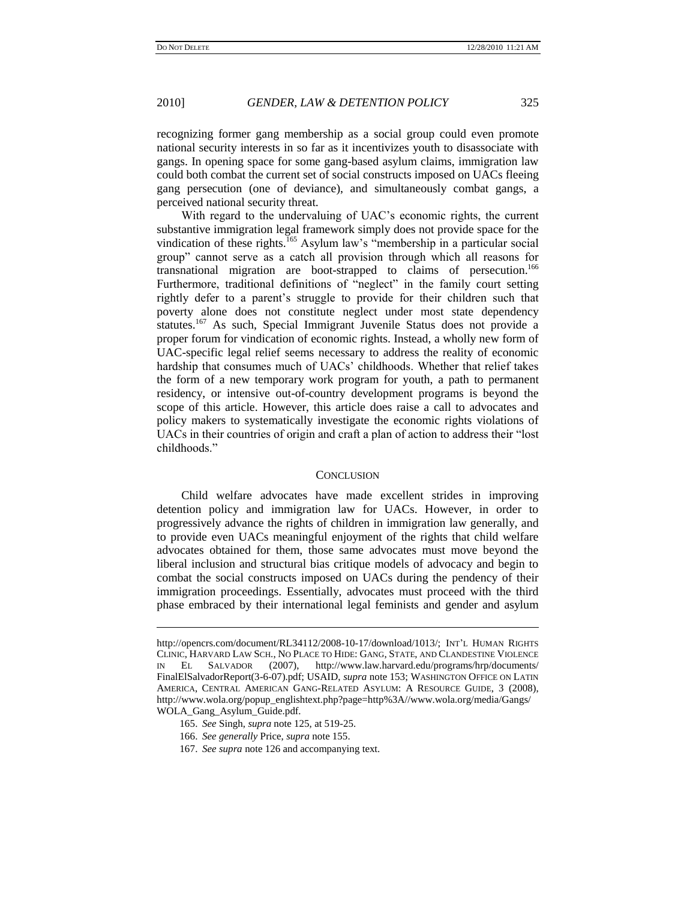recognizing former gang membership as a social group could even promote national security interests in so far as it incentivizes youth to disassociate with gangs. In opening space for some gang-based asylum claims, immigration law could both combat the current set of social constructs imposed on UACs fleeing gang persecution (one of deviance), and simultaneously combat gangs, a perceived national security threat.

With regard to the undervaluing of UAC's economic rights, the current substantive immigration legal framework simply does not provide space for the vindication of these rights.<sup>165</sup> Asylum law's "membership in a particular social group" cannot serve as a catch all provision through which all reasons for transnational migration are boot-strapped to claims of persecution.<sup>166</sup> Furthermore, traditional definitions of "neglect" in the family court setting rightly defer to a parent's struggle to provide for their children such that poverty alone does not constitute neglect under most state dependency statutes.<sup>167</sup> As such, Special Immigrant Juvenile Status does not provide a proper forum for vindication of economic rights. Instead, a wholly new form of UAC-specific legal relief seems necessary to address the reality of economic hardship that consumes much of UACs' childhoods. Whether that relief takes the form of a new temporary work program for youth, a path to permanent residency, or intensive out-of-country development programs is beyond the scope of this article. However, this article does raise a call to advocates and policy makers to systematically investigate the economic rights violations of UACs in their countries of origin and craft a plan of action to address their "lost" childhoods."

#### **CONCLUSION**

Child welfare advocates have made excellent strides in improving detention policy and immigration law for UACs. However, in order to progressively advance the rights of children in immigration law generally, and to provide even UACs meaningful enjoyment of the rights that child welfare advocates obtained for them, those same advocates must move beyond the liberal inclusion and structural bias critique models of advocacy and begin to combat the social constructs imposed on UACs during the pendency of their immigration proceedings. Essentially, advocates must proceed with the third phase embraced by their international legal feminists and gender and asylum

http://opencrs.com/document/RL34112/2008-10-17/download/1013/; INT'L HUMAN RIGHTS CLINIC, HARVARD LAW SCH., NO PLACE TO HIDE: GANG, STATE, AND CLANDESTINE VIOLENCE IN EL SALVADOR (2007), http://www.law.harvard.edu/programs/hrp/documents/ FinalElSalvadorReport(3-6-07).pdf; USAID, *supra* note 153; WASHINGTON OFFICE ON LATIN AMERICA, CENTRAL AMERICAN GANG-RELATED ASYLUM: A RESOURCE GUIDE, 3 (2008), http://www.wola.org/popup\_englishtext.php?page=http%3A//www.wola.org/media/Gangs/ WOLA\_Gang\_Asylum\_Guide.pdf.

<sup>165.</sup> *See* Singh, *supra* note 125, at 519-25.

<sup>166.</sup> *See generally* Price, *supra* note 155.

<sup>167.</sup> *See supra* note 126 and accompanying text.